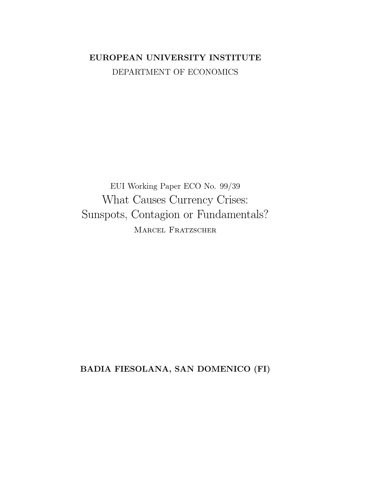# EUROPEAN UNIVERSITY INSTITUTE DEPARTMENT OF ECONOMICS

EUI Working Paper ECO No. 99/39 What Causes Currency Crises: Sunspots, Contagion or Fundamentals? MARCEL FRATZSCHER

BADIA FIESOLANA, SAN DOMENICO (FI)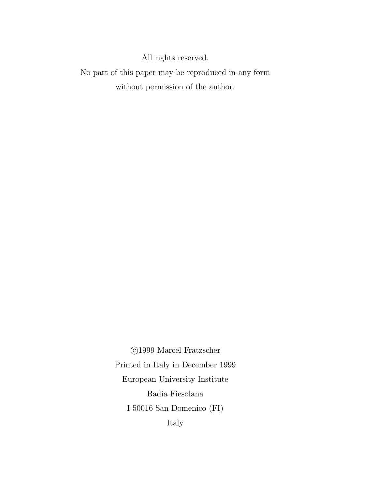All rights reserved.

No part of this paper may be reproduced in any form without permission of the author.

> $\odot$ 1999 Marcel Fratzscher Printed in Italy in December 1999 European University Institute Badia Fiesolana I-50016 San Domenico $(\mathrm{FI})$ Italy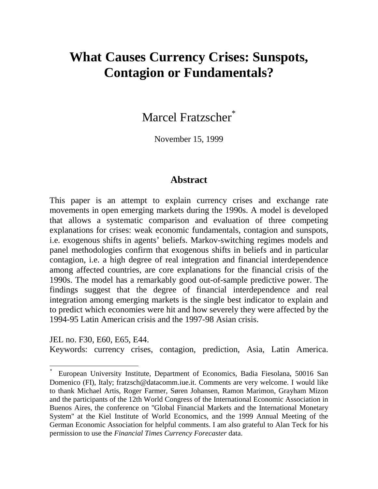# **What Causes Currency Crises: Sunspots, Contagion or Fundamentals?**

Marcel Fratzscher\*

November 15, 1999

### **Abstract**

This paper is an attempt to explain currency crises and exchange rate movements in open emerging markets during the 1990s. A model is developed that allows a systematic comparison and evaluation of three competing explanations for crises: weak economic fundamentals, contagion and sunspots, i.e. exogenous shifts in agents' beliefs. Markov-switching regimes models and panel methodologies confirm that exogenous shifts in beliefs and in particular contagion, i.e. a high degree of real integration and financial interdependence among affected countries, are core explanations for the financial crisis of the 1990s. The model has a remarkably good out-of-sample predictive power. The findings suggest that the degree of financial interdependence and real integration among emerging markets is the single best indicator to explain and to predict which economies were hit and how severely they were affected by the 1994-95 Latin American crisis and the 1997-98 Asian crisis.

JEL no. F30, E60, E65, E44. Keywords: currency crises, contagion, prediction, Asia, Latin America.

 $\overline{a}$ 

<sup>\*</sup> European University Institute, Department of Economics, Badia Fiesolana, 50016 San Domenico (FI), Italy; fratzsch@datacomm.iue.it. Comments are very welcome. I would like to thank Michael Artis, Roger Farmer, Søren Johansen, Ramon Marimon, Grayham Mizon and the participants of the 12th World Congress of the International Economic Association in Buenos Aires, the conference on ''Global Financial Markets and the International Monetary System'' at the Kiel Institute of World Economics, and the 1999 Annual Meeting of the German Economic Association for helpful comments. I am also grateful to Alan Teck for his permission to use the *Financial Times Currency Forecaster* data.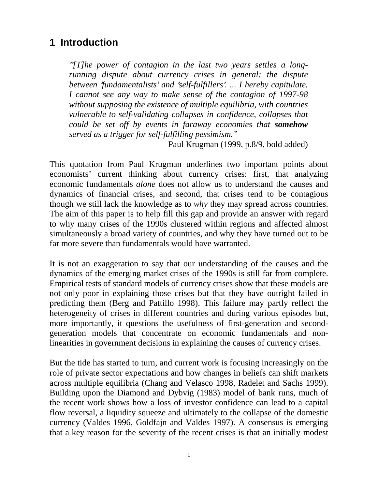# **1 Introduction**

*''[T]he power of contagion in the last two years settles a longrunning dispute about currency crises in general: the dispute between 'fundamentalists' and 'self-fulfillers'. ... I hereby capitulate. I cannot see any way to make sense of the contagion of 1997-98 without supposing the existence of multiple equilibria, with countries vulnerable to self-validating collapses in confidence, collapses that could be set off by events in faraway economies that somehow served as a trigger for self-fulfilling pessimism."*

Paul Krugman (1999, p.8/9, bold added)

This quotation from Paul Krugman underlines two important points about economists' current thinking about currency crises: first, that analyzing economic fundamentals *alone* does not allow us to understand the causes and dynamics of financial crises, and second, that crises tend to be contagious though we still lack the knowledge as to *why* they may spread across countries. The aim of this paper is to help fill this gap and provide an answer with regard to why many crises of the 1990s clustered within regions and affected almost simultaneously a broad variety of countries, and why they have turned out to be far more severe than fundamentals would have warranted.

It is not an exaggeration to say that our understanding of the causes and the dynamics of the emerging market crises of the 1990s is still far from complete. Empirical tests of standard models of currency crises show that these models are not only poor in explaining those crises but that they have outright failed in predicting them (Berg and Pattillo 1998). This failure may partly reflect the heterogeneity of crises in different countries and during various episodes but, more importantly, it questions the usefulness of first-generation and secondgeneration models that concentrate on economic fundamentals and nonlinearities in government decisions in explaining the causes of currency crises.

But the tide has started to turn, and current work is focusing increasingly on the role of private sector expectations and how changes in beliefs can shift markets across multiple equilibria (Chang and Velasco 1998, Radelet and Sachs 1999). Building upon the Diamond and Dybvig (1983) model of bank runs, much of the recent work shows how a loss of investor confidence can lead to a capital flow reversal, a liquidity squeeze and ultimately to the collapse of the domestic currency (Valdes 1996, Goldfajn and Valdes 1997). A consensus is emerging that a key reason for the severity of the recent crises is that an initially modest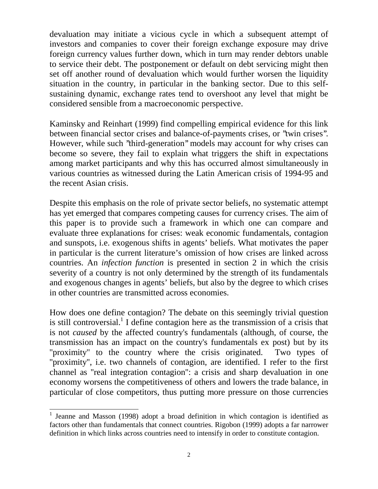devaluation may initiate a vicious cycle in which a subsequent attempt of investors and companies to cover their foreign exchange exposure may drive foreign currency values further down, which in turn may render debtors unable to service their debt. The postponement or default on debt servicing might then set off another round of devaluation which would further worsen the liquidity situation in the country, in particular in the banking sector. Due to this selfsustaining dynamic, exchange rates tend to overshoot any level that might be considered sensible from a macroeconomic perspective.

Kaminsky and Reinhart (1999) find compelling empirical evidence for this link between financial sector crises and balance-of-payments crises, or ''twin crises''. However, while such ''third-generation'' models may account for why crises can become so severe, they fail to explain what triggers the shift in expectations among market participants and why this has occurred almost simultaneously in various countries as witnessed during the Latin American crisis of 1994-95 and the recent Asian crisis.

Despite this emphasis on the role of private sector beliefs, no systematic attempt has yet emerged that compares competing causes for currency crises. The aim of this paper is to provide such a framework in which one can compare and evaluate three explanations for crises: weak economic fundamentals, contagion and sunspots, i.e. exogenous shifts in agents' beliefs. What motivates the paper in particular is the current literature's omission of how crises are linked across countries. An *infection function* is presented in section 2 in which the crisis severity of a country is not only determined by the strength of its fundamentals and exogenous changes in agents' beliefs, but also by the degree to which crises in other countries are transmitted across economies.

How does one define contagion? The debate on this seemingly trivial question is still controversial.<sup>1</sup> I define contagion here as the transmission of a crisis that is not *caused* by the affected country's fundamentals (although, of course, the transmission has an impact on the country's fundamentals ex post) but by its "proximity" to the country where the crisis originated. Two types of ''proximity'', i.e. two channels of contagion, are identified. I refer to the first channel as ''real integration contagion'': a crisis and sharp devaluation in one economy worsens the competitiveness of others and lowers the trade balance, in particular of close competitors, thus putting more pressure on those currencies

<sup>&</sup>lt;sup>1</sup> Jeanne and Masson (1998) adopt a broad definition in which contagion is identified as factors other than fundamentals that connect countries. Rigobon (1999) adopts a far narrower definition in which links across countries need to intensify in order to constitute contagion.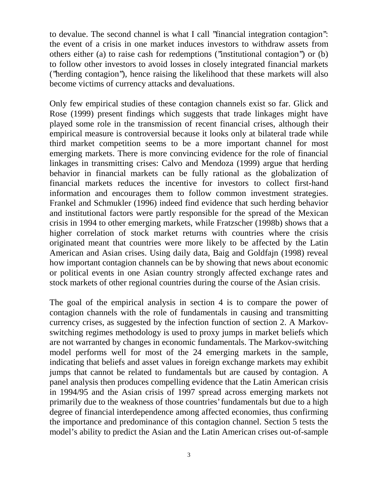to devalue. The second channel is what I call ''financial integration contagion'': the event of a crisis in one market induces investors to withdraw assets from others either (a) to raise cash for redemptions (''institutional contagion'') or (b) to follow other investors to avoid losses in closely integrated financial markets (''herding contagion''), hence raising the likelihood that these markets will also become victims of currency attacks and devaluations.

Only few empirical studies of these contagion channels exist so far. Glick and Rose (1999) present findings which suggests that trade linkages might have played some role in the transmission of recent financial crises, although their empirical measure is controversial because it looks only at bilateral trade while third market competition seems to be a more important channel for most emerging markets. There is more convincing evidence for the role of financial linkages in transmitting crises: Calvo and Mendoza (1999) argue that herding behavior in financial markets can be fully rational as the globalization of financial markets reduces the incentive for investors to collect first-hand information and encourages them to follow common investment strategies. Frankel and Schmukler (1996) indeed find evidence that such herding behavior and institutional factors were partly responsible for the spread of the Mexican crisis in 1994 to other emerging markets, while Fratzscher (1998b) shows that a higher correlation of stock market returns with countries where the crisis originated meant that countries were more likely to be affected by the Latin American and Asian crises. Using daily data, Baig and Goldfajn (1998) reveal how important contagion channels can be by showing that news about economic or political events in one Asian country strongly affected exchange rates and stock markets of other regional countries during the course of the Asian crisis.

The goal of the empirical analysis in section 4 is to compare the power of contagion channels with the role of fundamentals in causing and transmitting currency crises, as suggested by the infection function of section 2. A Markovswitching regimes methodology is used to proxy jumps in market beliefs which are not warranted by changes in economic fundamentals. The Markov-switching model performs well for most of the 24 emerging markets in the sample, indicating that beliefs and asset values in foreign exchange markets may exhibit jumps that cannot be related to fundamentals but are caused by contagion. A panel analysis then produces compelling evidence that the Latin American crisis in 1994/95 and the Asian crisis of 1997 spread across emerging markets not primarily due to the weakness of those countries' fundamentals but due to a high degree of financial interdependence among affected economies, thus confirming the importance and predominance of this contagion channel. Section 5 tests the model's ability to predict the Asian and the Latin American crises out-of-sample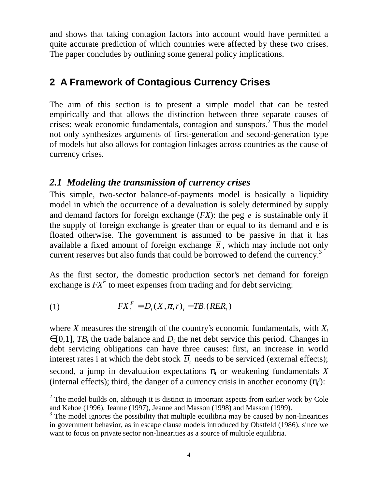and shows that taking contagion factors into account would have permitted a quite accurate prediction of which countries were affected by these two crises. The paper concludes by outlining some general policy implications.

# **2 A Framework of Contagious Currency Crises**

The aim of this section is to present a simple model that can be tested empirically and that allows the distinction between three separate causes of crises: weak economic fundamentals, contagion and sunspots. $2^{\degree}$  Thus the model not only synthesizes arguments of first-generation and second-generation type of models but also allows for contagion linkages across countries as the cause of currency crises.

### *2.1 Modeling the transmission of currency crises*

This simple, two-sector balance-of-payments model is basically a liquidity model in which the occurrence of a devaluation is solely determined by supply and demand factors for foreign exchange  $(FX)$ : the peg  $\overline{e}$  is sustainable only if the supply of foreign exchange is greater than or equal to its demand and e is floated otherwise. The government is assumed to be passive in that it has available a fixed amount of foreign exchange  $\overline{R}$ , which may include not only current reserves but also funds that could be borrowed to defend the currency.<sup>3</sup>

As the first sector, the domestic production sector's net demand for foreign exchange is  $FX<sup>F</sup>$  to meet expenses from trading and for debt servicing:

$$
(1) \t\t FXtF = Dt(X, \pi, r)t - TBt(RERt)
$$

where *X* measures the strength of the country's economic fundamentals, with  $X_t$  $\in [0,1]$ , *TB<sub>t</sub>* the trade balance and *D<sub>t</sub>* the net debt service this period. Changes in debt servicing obligations can have three causes: first, an increase in world interest rates i at which the debt stock  $\overline{D}_t$  needs to be serviced (external effects); second, a jump in devaluation expectations  $\pi_t$  or weakening fundamentals X (internal effects); third, the danger of a currency crisis in another economy  $(\pi_t^j)$ :

<sup>&</sup>lt;sup>2</sup> The model builds on, although it is distinct in important aspects from earlier work by Cole and Kehoe (1996), Jeanne (1997), Jeanne and Masson (1998) and Masson (1999).

 $3$  The model ignores the possibility that multiple equilibria may be caused by non-linearities in government behavior, as in escape clause models introduced by Obstfeld (1986), since we want to focus on private sector non-linearities as a source of multiple equilibria.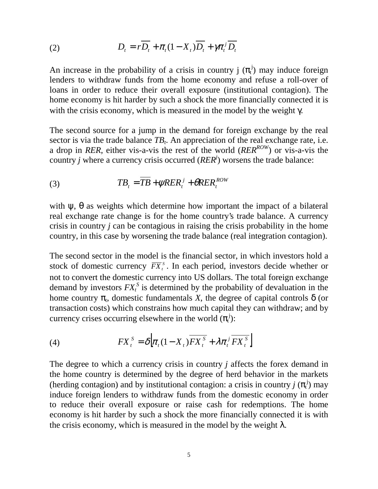(2) 
$$
D_{t} = rD_{t} + \pi_{t}(1 - X_{t})D_{t} + \gamma \pi_{t}^{j} D_{t}
$$

An increase in the probability of a crisis in country  $j(\pi_t^j)$  may induce foreign lenders to withdraw funds from the home economy and refuse a roll-over of loans in order to reduce their overall exposure (institutional contagion). The home economy is hit harder by such a shock the more financially connected it is with the crisis economy, which is measured in the model by the weight  $\gamma$ .

The second source for a jump in the demand for foreign exchange by the real sector is via the trade balance  $TB_t$ . An appreciation of the real exchange rate, i.e. a drop in *RER*, either vis-a-vis the rest of the world (*RERROW*) or vis-a-vis the country *j* where a currency crisis occurred ( $RER<sup>j</sup>$ ) worsens the trade balance:

(3) 
$$
TB_t = \overline{TB} + \psi R E R_t^j + \theta R E R_t^{ROW}
$$

with  $\psi$ ,  $\theta$  as weights which determine how important the impact of a bilateral real exchange rate change is for the home country's trade balance. A currency crisis in country *j* can be contagious in raising the crisis probability in the home country, in this case by worsening the trade balance (real integration contagion).

The second sector in the model is the financial sector, in which investors hold a stock of domestic currency  $\overline{FX}_t^s$ . In each period, investors decide whether or not to convert the domestic currency into US dollars. The total foreign exchange demand by investors  $FX_t^S$  is determined by the probability of devaluation in the home country  $\pi_t$ , domestic fundamentals *X*, the degree of capital controls  $\delta$  (or transaction costs) which constrains how much capital they can withdraw; and by currency crises occurring elsewhere in the world  $(\pi_t^j)$ :

(4) 
$$
FX_t^S = \delta \Big[ \pi_t (1 - X_t) \overline{FX_t^S} + \lambda \pi_t^j \overline{FX_t^S} \Big]
$$

The degree to which a currency crisis in country *j* affects the forex demand in the home country is determined by the degree of herd behavior in the markets (herding contagion) and by institutional contagion: a crisis in country  $j(\pi_t^j)$  may induce foreign lenders to withdraw funds from the domestic economy in order to reduce their overall exposure or raise cash for redemptions. The home economy is hit harder by such a shock the more financially connected it is with the crisis economy, which is measured in the model by the weight  $\lambda$ .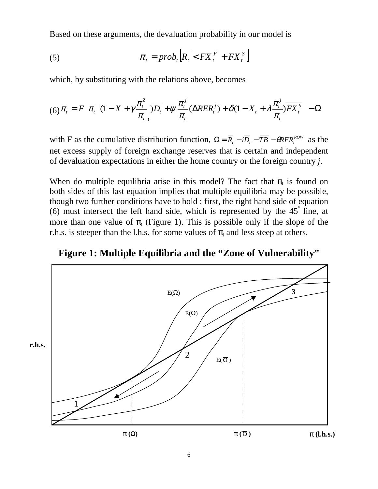Based on these arguments, the devaluation probability in our model is

(5) 
$$
\pi_t = prob_t \left[ \overline{R_t} < FX_t^F + FX_t^S \right]
$$

which, by substituting with the relations above, becomes

$$
(6)\pi_t = F\left[\pi_t \left( (1 - X + \gamma \frac{\pi_t^2}{\pi_{t}}) \overline{D_t} + \psi \frac{\pi_t^j}{\pi_t} (\Delta R E R_t^j) + \delta (1 - X_t + \lambda \frac{\pi_t^j}{\pi_t}) \overline{F X_t^s} \right) - \Omega \right]
$$

with F as the cumulative distribution function,  $\Omega = \overline{R}_t - i\overline{D}_t - \overline{TB} - \theta R E R_t^{ROW}$  as the net excess supply of foreign exchange reserves that is certain and independent of devaluation expectations in either the home country or the foreign country *j*.

When do multiple equilibria arise in this model? The fact that  $\pi_t$  is found on both sides of this last equation implies that multiple equilibria may be possible, though two further conditions have to hold : first, the right hand side of equation (6) must intersect the left hand side, which is represented by the  $45^{\degree}$  line, at more than one value of  $\pi$ <sub>t</sub> (Figure 1). This is possible only if the slope of the r.h.s. is steeper than the l.h.s. for some values of  $\pi_t$  and less steep at others.

**Figure 1: Multiple Equilibria and the "Zone of Vulnerability"**

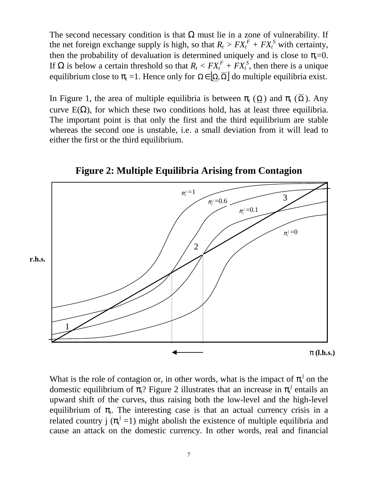The second necessary condition is that  $\Omega$  must lie in a zone of vulnerability. If the net foreign exchange supply is high, so that  $R_t > FX_t^F + FX_t^S$  with certainty, then the probability of devaluation is determined uniquely and is close to  $\pi_t=0$ . If Ω is below a certain threshold so that  $R_t < FX_t^F + FX_t^S$ , then there is a unique equilibrium close to  $\pi_t = 1$ . Hence only for  $\Omega \in [\Omega, \overline{\Omega}]$  do multiple equilibria exist.

In Figure 1, the area of multiple equilibria is between  $\pi_{\mathfrak{t}}(\Omega)$  and  $\pi_{\mathfrak{t}}(\overline{\Omega})$ . Any curve  $E(\Omega)$ , for which these two conditions hold, has at least three equilibria. The important point is that only the first and the third equilibrium are stable whereas the second one is unstable, i.e. a small deviation from it will lead to either the first or the third equilibrium.



**Figure 2: Multiple Equilibria Arising from Contagion**

What is the role of contagion or, in other words, what is the impact of  $\pi_t^j$  on the domestic equilibrium of  $\pi$ <sup>2</sup>. Figure 2 illustrates that an increase in  $\pi$ <sup>j</sup> entails an upward shift of the curves, thus raising both the low-level and the high-level equilibrium of  $\pi$ . The interesting case is that an actual currency crisis in a related country j ( $\pi_t^j$  =1) might abolish the existence of multiple equilibria and cause an attack on the domestic currency. In other words, real and financial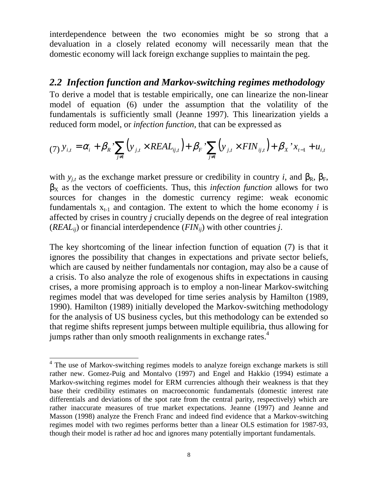interdependence between the two economies might be so strong that a devaluation in a closely related economy will necessarily mean that the domestic economy will lack foreign exchange supplies to maintain the peg.

### *2.2 Infection function and Markov-switching regimes methodology*

To derive a model that is testable empirically, one can linearize the non-linear model of equation (6) under the assumption that the volatility of the fundamentals is sufficiently small (Jeanne 1997). This linearization yields a reduced form model, or *infection function*, that can be expressed as

$$
(7) \, y_{i,t} = \alpha_i + \beta_R \sum_{j \neq i} \left( y_{j,t} \times REAL_{ij,t} \right) + \beta_F \sum_{j \neq i} \left( y_{j,t} \times FIN_{ij,t} \right) + \beta_X \cdot x_{t-1} + u_{i,t}
$$

with  $y_{j,t}$  as the exchange market pressure or credibility in country *i*, and  $\beta_R$ ,  $\beta_F$ ,  $\beta_X$  as the vectors of coefficients. Thus, this *infection function* allows for two sources for changes in the domestic currency regime: weak economic fundamentals  $x_{t-1}$  and contagion. The extent to which the home economy *i* is affected by crises in country *j* crucially depends on the degree of real integration (*REALij*) or financial interdependence (*FINij*) with other countries *j*.

The key shortcoming of the linear infection function of equation (7) is that it ignores the possibility that changes in expectations and private sector beliefs, which are caused by neither fundamentals nor contagion, may also be a cause of a crisis. To also analyze the role of exogenous shifts in expectations in causing crises, a more promising approach is to employ a non-linear Markov-switching regimes model that was developed for time series analysis by Hamilton (1989, 1990). Hamilton (1989) initially developed the Markov-switching methodology for the analysis of US business cycles, but this methodology can be extended so that regime shifts represent jumps between multiple equilibria, thus allowing for jumps rather than only smooth realignments in exchange rates.<sup>4</sup>

 $\overline{a}$ 

<sup>&</sup>lt;sup>4</sup> The use of Markov-switching regimes models to analyze foreign exchange markets is still rather new. Gomez-Puig and Montalvo (1997) and Engel and Hakkio (1994) estimate a Markov-switching regimes model for ERM currencies although their weakness is that they base their credibility estimates on macroeconomic fundamentals (domestic interest rate differentials and deviations of the spot rate from the central parity, respectively) which are rather inaccurate measures of true market expectations. Jeanne (1997) and Jeanne and Masson (1998) analyze the French Franc and indeed find evidence that a Markov-switching regimes model with two regimes performs better than a linear OLS estimation for 1987-93, though their model is rather ad hoc and ignores many potentially important fundamentals.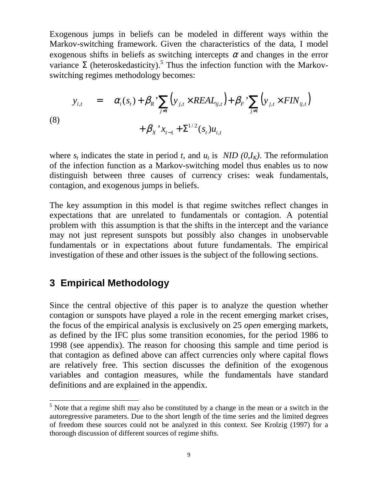Exogenous jumps in beliefs can be modeled in different ways within the Markov-switching framework. Given the characteristics of the data, I model exogenous shifts in beliefs as switching intercepts  $\alpha$  and changes in the error variance  $\Sigma$  (heteroskedasticity).<sup>5</sup> Thus the infection function with the Markovswitching regimes methodology becomes:

(8)  

$$
y_{i,t} = \alpha_i(s_t) + \beta_R \sum_{j \neq i} (y_{j,t} \times REAL_{ij,t}) + \beta_F \sum_{j \neq i} (y_{j,t} \times FIN_{ij,t}) + \beta_X \sum_{t=1}^N (x_{j,t} + \sum_{j \neq i} (s_t)u_{i,t})
$$

where  $s_t$  indicates the state in period *t*, and  $u_t$  is *NID (0,I<sub>K</sub>)*. The reformulation of the infection function as a Markov-switching model thus enables us to now distinguish between three causes of currency crises: weak fundamentals, contagion, and exogenous jumps in beliefs.

The key assumption in this model is that regime switches reflect changes in expectations that are unrelated to fundamentals or contagion. A potential problem with this assumption is that the shifts in the intercept and the variance may not just represent sunspots but possibly also changes in unobservable fundamentals or in expectations about future fundamentals. The empirical investigation of these and other issues is the subject of the following sections.

### **3 Empirical Methodology**

 $\overline{a}$ 

Since the central objective of this paper is to analyze the question whether contagion or sunspots have played a role in the recent emerging market crises, the focus of the empirical analysis is exclusively on 25 *open* emerging markets, as defined by the IFC plus some transition economies, for the period 1986 to 1998 (see appendix). The reason for choosing this sample and time period is that contagion as defined above can affect currencies only where capital flows are relatively free. This section discusses the definition of the exogenous variables and contagion measures, while the fundamentals have standard definitions and are explained in the appendix.

 $<sup>5</sup>$  Note that a regime shift may also be constituted by a change in the mean or a switch in the</sup> autoregressive parameters. Due to the short length of the time series and the limited degrees of freedom these sources could not be analyzed in this context. See Krolzig (1997) for a thorough discussion of different sources of regime shifts.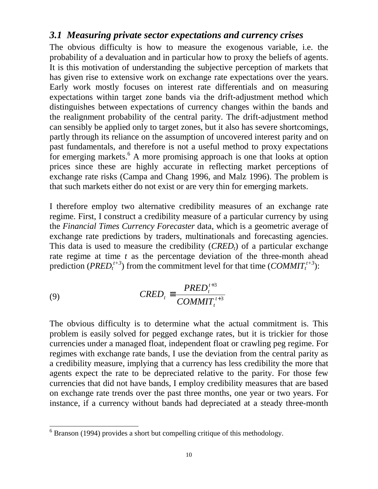### *3.1 Measuring private sector expectations and currency crises*

The obvious difficulty is how to measure the exogenous variable, i.e. the probability of a devaluation and in particular how to proxy the beliefs of agents. It is this motivation of understanding the subjective perception of markets that has given rise to extensive work on exchange rate expectations over the years. Early work mostly focuses on interest rate differentials and on measuring expectations within target zone bands via the drift-adjustment method which distinguishes between expectations of currency changes within the bands and the realignment probability of the central parity. The drift-adjustment method can sensibly be applied only to target zones, but it also has severe shortcomings, partly through its reliance on the assumption of uncovered interest parity and on past fundamentals, and therefore is not a useful method to proxy expectations for emerging markets.<sup>6</sup> A more promising approach is one that looks at option prices since these are highly accurate in reflecting market perceptions of exchange rate risks (Campa and Chang 1996, and Malz 1996). The problem is that such markets either do not exist or are very thin for emerging markets.

I therefore employ two alternative credibility measures of an exchange rate regime. First, I construct a credibility measure of a particular currency by using the *Financial Times Currency Forecaster* data, which is a geometric average of exchange rate predictions by traders, multinationals and forecasting agencies. This data is used to measure the credibility  $(CRED<sub>t</sub>)$  of a particular exchange rate regime at time *t* as the percentage deviation of the three-month ahead prediction (*PRED*<sup> $t+3$ </sup>) from the commitment level for that time (*COMMIT*<sup> $t+3$ </sup>):

(9) 
$$
CRED_t \equiv \frac{PRED_t^{t+3}}{COMMIT_t^{t+3}}
$$

The obvious difficulty is to determine what the actual commitment is. This problem is easily solved for pegged exchange rates, but it is trickier for those currencies under a managed float, independent float or crawling peg regime. For regimes with exchange rate bands, I use the deviation from the central parity as a credibility measure, implying that a currency has less credibility the more that agents expect the rate to be depreciated relative to the parity. For those few currencies that did not have bands, I employ credibility measures that are based on exchange rate trends over the past three months, one year or two years. For instance, if a currency without bands had depreciated at a steady three-month

<sup>&</sup>lt;sup>6</sup> Branson (1994) provides a short but compelling critique of this methodology.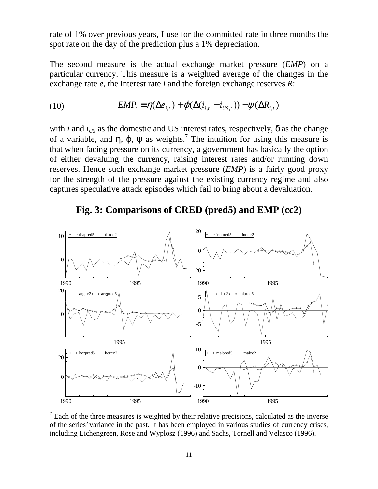rate of 1% over previous years, I use for the committed rate in three months the spot rate on the day of the prediction plus a 1% depreciation.

The second measure is the actual exchange market pressure (*EMP*) on a particular currency. This measure is a weighted average of the changes in the exchange rate *e*, the interest rate *i* and the foreign exchange reserves *R*:

(10) 
$$
EMP_t \equiv \eta(\Delta e_{i,t}) + \varphi(\Delta(i_{i,t} - i_{US,t})) - \psi(\Delta R_{i,t})
$$

with *i* and  $i_{US}$  as the domestic and US interest rates, respectively,  $\delta$  as the change of a variable, and  $\eta$ ,  $\varphi$ ,  $\psi$  as weights.<sup>7</sup> The intuition for using this measure is that when facing pressure on its currency, a government has basically the option of either devaluing the currency, raising interest rates and/or running down reserves. Hence such exchange market pressure (*EMP*) is a fairly good proxy for the strength of the pressure against the existing currency regime and also captures speculative attack episodes which fail to bring about a devaluation.



### **Fig. 3: Comparisons of CRED (pred5) and EMP (cc2)**

 $\overline{7}$  Each of the three measures is weighted by their relative precisions, calculated as the inverse of the series' variance in the past. It has been employed in various studies of currency crises, including Eichengreen, Rose and Wyplosz (1996) and Sachs, Tornell and Velasco (1996).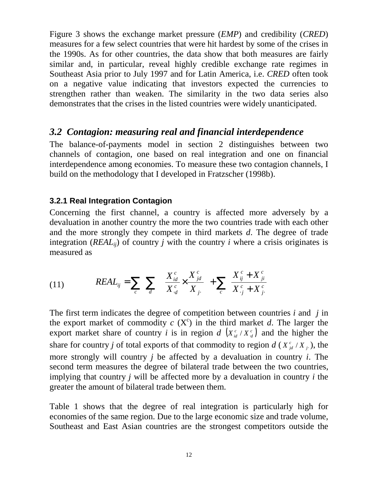Figure 3 shows the exchange market pressure (*EMP*) and credibility (*CRED*) measures for a few select countries that were hit hardest by some of the crises in the 1990s. As for other countries, the data show that both measures are fairly similar and, in particular, reveal highly credible exchange rate regimes in Southeast Asia prior to July 1997 and for Latin America, i.e. *CRED* often took on a negative value indicating that investors expected the currencies to strengthen rather than weaken. The similarity in the two data series also demonstrates that the crises in the listed countries were widely unanticipated.

### *3.2 Contagion: measuring real and financial interdependence*

The balance-of-payments model in section 2 distinguishes between two channels of contagion, one based on real integration and one on financial interdependence among economies. To measure these two contagion channels, I build on the methodology that I developed in Fratzscher (1998b).

#### **3.2.1 Real Integration Contagion**

Concerning the first channel, a country is affected more adversely by a devaluation in another country the more the two countries trade with each other and the more strongly they compete in third markets *d*. The degree of trade integration (*REAL<sub>ii</sub>*) of country *j* with the country *i* where a crisis originates is measured as

(11) 
$$
REAL_{ij} = \sum_{c} \sum_{d} \left( \frac{X_{id}^{c}}{X_{d}^{c}} \times \frac{X_{jd}^{c}}{X_{j}} \right) + \sum_{c} \left( \frac{X_{ij}^{c} + X_{ji}^{c}}{X_{.j}^{c} + X_{j}^{c}} \right)
$$

The first term indicates the degree of competition between countries *i* and *j* in the export market of commodity  $c(X^c)$  in the third market  $d$ . The larger the export market share of country *i* is in region *d*  $(X_{id}^c / X_{id}^c)$  and the higher the share for country *j* of total exports of that commodity to region  $d(X_{j_d}^c/X_j)$ , the more strongly will country *j* be affected by a devaluation in country *i*. The second term measures the degree of bilateral trade between the two countries, implying that country *j* will be affected more by a devaluation in country *i* the greater the amount of bilateral trade between them.

Table 1 shows that the degree of real integration is particularly high for economies of the same region. Due to the large economic size and trade volume, Southeast and East Asian countries are the strongest competitors outside the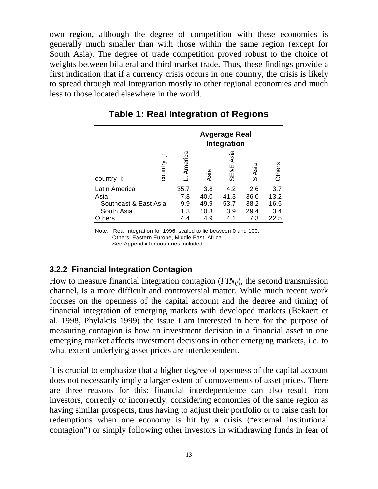own region, although the degree of competition with these economies is generally much smaller than with those within the same region (except for South Asia). The degree of trade competition proved robust to the choice of weights between bilateral and third market trade. Thus, these findings provide a first indication that if a currency crisis occurs in one country, the crisis is likely to spread through real integration mostly to other regional economies and much less to those located elsewhere in the world.

|                       |                     |         |      | Avgerage Real<br>Integration |           |            |
|-----------------------|---------------------|---------|------|------------------------------|-----------|------------|
| country i:            | <u>.</u><br>country | America | Asia | Asia<br>SE&E                 | Asia<br>ၯ | ၑ<br>Othei |
| Latin America         |                     | 35.7    | 3.8  | 4.2                          | 2.6       | 3.7        |
| Asia:                 |                     | 7.8     | 40.0 | 41.3                         | 36.0      | 13.2       |
| Southeast & East Asia |                     | 9.9     | 49.9 | 53.7                         | 38.2      | 16.5       |
| South Asia            |                     | 1.3     | 10.3 | 3.9                          | 29.4      | 3.4        |
| Others                |                     | 4.4     | 4.9  | 4.1                          | 7.3       | 22.5       |

**Table 1: Real Integration of Regions**

Note: Real Integration for 1996, scaled to lie between 0 and 100. Others: Eastern Europe, Middle East, Africa. See Appendix for countries included.

### **3.2.2 Financial Integration Contagion**

How to measure financial integration contagion (*FINij*), the second transmission channel, is a more difficult and controversial matter. While much recent work focuses on the openness of the capital account and the degree and timing of financial integration of emerging markets with developed markets (Bekaert et al. 1998, Phylaktis 1999) the issue I am interested in here for the purpose of measuring contagion is how an investment decision in a financial asset in one emerging market affects investment decisions in other emerging markets, i.e. to what extent underlying asset prices are interdependent.

It is crucial to emphasize that a higher degree of openness of the capital account does not necessarily imply a larger extent of comovements of asset prices. There are three reasons for this: financial interdependence can also result from investors, correctly or incorrectly, considering economies of the same region as having similar prospects, thus having to adjust their portfolio or to raise cash for redemptions when one economy is hit by a crisis ("external institutional contagion") or simply following other investors in withdrawing funds in fear of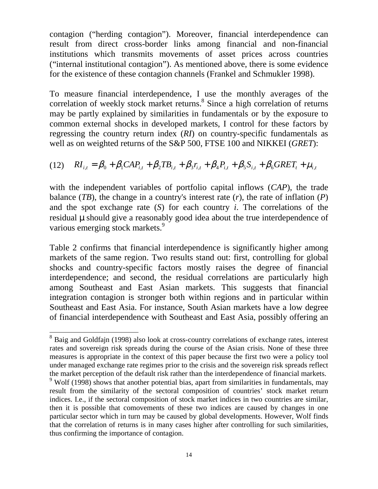contagion ("herding contagion"). Moreover, financial interdependence can result from direct cross-border links among financial and non-financial institutions which transmits movements of asset prices across countries ("internal institutional contagion"). As mentioned above, there is some evidence for the existence of these contagion channels (Frankel and Schmukler 1998).

To measure financial interdependence, I use the monthly averages of the correlation of weekly stock market returns.<sup>8</sup> Since a high correlation of returns may be partly explained by similarities in fundamentals or by the exposure to common external shocks in developed markets, I control for these factors by regressing the country return index (*RI*) on country-specific fundamentals as well as on weighted returns of the S&P 500, FTSE 100 and NIKKEI (*GRET*):

$$
(12) \quad RI_{i,t} = \beta_0 + \beta_1 CAP_{i,t} + \beta_2 TB_{i,t} + \beta_3 r_{i,t} + \beta_4 P_{i,t} + \beta_5 S_{i,t} + \beta_6 GRET_t + \mu_{i,t}
$$

with the independent variables of portfolio capital inflows (*CAP*), the trade balance (*TB*), the change in a country's interest rate (*r*), the rate of inflation (*P*) and the spot exchange rate (*S*) for each country *i*. The correlations of the residual µ should give a reasonably good idea about the true interdependence of various emerging stock markets.<sup>9</sup>

Table 2 confirms that financial interdependence is significantly higher among markets of the same region. Two results stand out: first, controlling for global shocks and country-specific factors mostly raises the degree of financial interdependence; and second, the residual correlations are particularly high among Southeast and East Asian markets. This suggests that financial integration contagion is stronger both within regions and in particular within Southeast and East Asia. For instance, South Asian markets have a low degree of financial interdependence with Southeast and East Asia, possibly offering an

 $\overline{a}$ 

<sup>&</sup>lt;sup>8</sup> Baig and Goldfajn (1998) also look at cross-country correlations of exchange rates, interest rates and sovereign risk spreads during the course of the Asian crisis. None of these three measures is appropriate in the context of this paper because the first two were a policy tool under managed exchange rate regimes prior to the crisis and the sovereign risk spreads reflect the market perception of the default risk rather than the interdependence of financial markets.

 $9$  Wolf (1998) shows that another potential bias, apart from similarities in fundamentals, may result from the similarity of the sectoral composition of countries' stock market return indices. I.e., if the sectoral composition of stock market indices in two countries are similar, then it is possible that comovements of these two indices are caused by changes in one particular sector which in turn may be caused by global developments. However, Wolf finds that the correlation of returns is in many cases higher after controlling for such similarities, thus confirming the importance of contagion.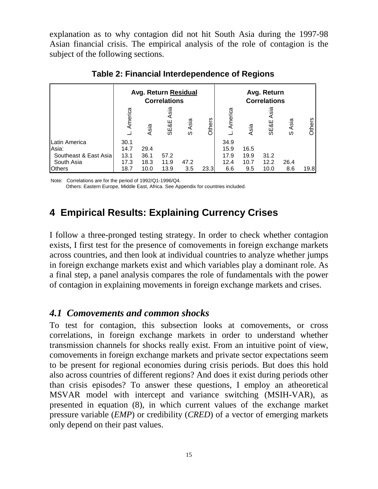explanation as to why contagion did not hit South Asia during the 1997-98 Asian financial crisis. The empirical analysis of the role of contagion is the subject of the following sections.

|                       |         | <b>Avg. Return Residual</b> | <b>Correlations</b>     |           |        |         | Avg. Return<br><b>Correlations</b> |              |           |        |
|-----------------------|---------|-----------------------------|-------------------------|-----------|--------|---------|------------------------------------|--------------|-----------|--------|
|                       | America | Asia                        | Asia<br><b>SE&amp;E</b> | Asia<br>S | Others | America | Asia                               | Asia<br>SE&E | Asia<br>w | Others |
| <b>Latin America</b>  | 30.1    |                             |                         |           |        | 34.9    |                                    |              |           |        |
| Asia:                 | 14.7    | 29.4                        |                         |           |        | 15.9    | 16.5                               |              |           |        |
| Southeast & East Asia | 13.1    | 36.1                        | 57.2                    |           |        | 17.9    | 19.9                               | 31.2         |           |        |
| South Asia            | 17.3    | 18.3                        | 11.9                    | 47.2      |        | 12.4    | 10.7                               | 12.2         | 26.4      |        |
| <b>Others</b>         | 18.7    | 10.0                        | 13.9                    | 3.5       | 23.3   | 6.6     | 9.5                                | 10.0         | 8.6       | 19.8   |

**Table 2: Financial Interdependence of Regions**

Note: Correlations are for the period of 1992/Q1-1996/Q4.

Others: Eastern Europe, Middle East, Africa. See Appendix for countries included.

# **4 Empirical Results: Explaining Currency Crises**

I follow a three-pronged testing strategy. In order to check whether contagion exists, I first test for the presence of comovements in foreign exchange markets across countries, and then look at individual countries to analyze whether jumps in foreign exchange markets exist and which variables play a dominant role. As a final step, a panel analysis compares the role of fundamentals with the power of contagion in explaining movements in foreign exchange markets and crises.

### *4.1 Comovements and common shocks*

To test for contagion, this subsection looks at comovements, or cross correlations, in foreign exchange markets in order to understand whether transmission channels for shocks really exist. From an intuitive point of view, comovements in foreign exchange markets and private sector expectations seem to be present for regional economies during crisis periods. But does this hold also across countries of different regions? And does it exist during periods other than crisis episodes? To answer these questions, I employ an atheoretical MSVAR model with intercept and variance switching (MSIH-VAR), as presented in equation (8), in which current values of the exchange market pressure variable (*EMP*) or credibility (*CRED*) of a vector of emerging markets Latin America<br>
Asia:<br>
Asia:<br>
Southeast & East Asia<br>
South Asia<br>
South Asia<br>
South Asia<br>
T7.3 18.3<br>
Others<br>
Note: Correlations are for the period of 1992/Q1-1<br>
Others: Eastern Europe, Middle East, Africa.<br>
4 Empirical Resul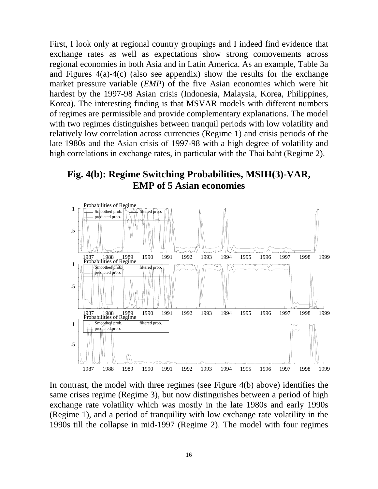First, I look only at regional country groupings and I indeed find evidence that exchange rates as well as expectations show strong comovements across regional economies in both Asia and in Latin America. As an example, Table 3a and Figures 4(a)-4(c) (also see appendix) show the results for the exchange market pressure variable (*EMP*) of the five Asian economies which were hit hardest by the 1997-98 Asian crisis (Indonesia, Malaysia, Korea, Philippines, Korea). The interesting finding is that MSVAR models with different numbers of regimes are permissible and provide complementary explanations. The model with two regimes distinguishes between tranquil periods with low volatility and relatively low correlation across currencies (Regime 1) and crisis periods of the late 1980s and the Asian crisis of 1997-98 with a high degree of volatility and high correlations in exchange rates, in particular with the Thai baht (Regime 2).





In contrast, the model with three regimes (see Figure 4(b) above) identifies the same crises regime (Regime 3), but now distinguishes between a period of high exchange rate volatility which was mostly in the late 1980s and early 1990s (Regime 1), and a period of tranquility with low exchange rate volatility in the 1990s till the collapse in mid-1997 (Regime 2). The model with four regimes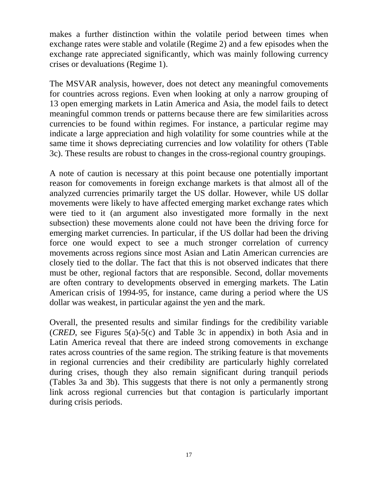makes a further distinction within the volatile period between times when exchange rates were stable and volatile (Regime 2) and a few episodes when the exchange rate appreciated significantly, which was mainly following currency crises or devaluations (Regime 1).

The MSVAR analysis, however, does not detect any meaningful comovements for countries across regions. Even when looking at only a narrow grouping of 13 open emerging markets in Latin America and Asia, the model fails to detect meaningful common trends or patterns because there are few similarities across currencies to be found within regimes. For instance, a particular regime may indicate a large appreciation and high volatility for some countries while at the same time it shows depreciating currencies and low volatility for others (Table 3c). These results are robust to changes in the cross-regional country groupings.

A note of caution is necessary at this point because one potentially important reason for comovements in foreign exchange markets is that almost all of the analyzed currencies primarily target the US dollar. However, while US dollar movements were likely to have affected emerging market exchange rates which were tied to it (an argument also investigated more formally in the next subsection) these movements alone could not have been the driving force for emerging market currencies. In particular, if the US dollar had been the driving force one would expect to see a much stronger correlation of currency movements across regions since most Asian and Latin American currencies are closely tied to the dollar. The fact that this is not observed indicates that there must be other, regional factors that are responsible. Second, dollar movements are often contrary to developments observed in emerging markets. The Latin American crisis of 1994-95, for instance, came during a period where the US dollar was weakest, in particular against the yen and the mark.

Overall, the presented results and similar findings for the credibility variable (*CRED*, see Figures 5(a)-5(c) and Table 3c in appendix) in both Asia and in Latin America reveal that there are indeed strong comovements in exchange rates across countries of the same region. The striking feature is that movements in regional currencies and their credibility are particularly highly correlated during crises, though they also remain significant during tranquil periods (Tables 3a and 3b). This suggests that there is not only a permanently strong link across regional currencies but that contagion is particularly important during crisis periods.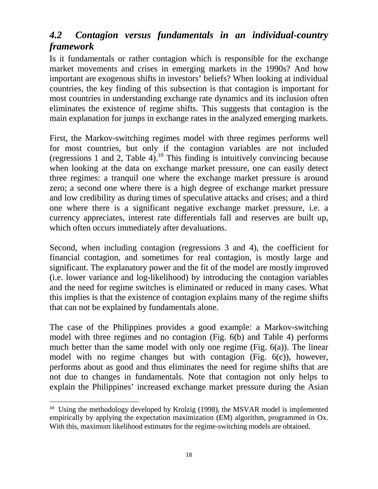# *4.2 Contagion versus fundamentals in an individual-country framework*

Is it fundamentals or rather contagion which is responsible for the exchange market movements and crises in emerging markets in the 1990s? And how important are exogenous shifts in investors' beliefs? When looking at individual countries, the key finding of this subsection is that contagion is important for most countries in understanding exchange rate dynamics and its inclusion often eliminates the existence of regime shifts. This suggests that contagion is the main explanation for jumps in exchange rates in the analyzed emerging markets.

First, the Markov-switching regimes model with three regimes performs well for most countries, but only if the contagion variables are not included (regressions 1 and 2, Table 4).<sup>10</sup> This finding is intuitively convincing because when looking at the data on exchange market pressure, one can easily detect three regimes: a tranquil one where the exchange market pressure is around zero; a second one where there is a high degree of exchange market pressure and low credibility as during times of speculative attacks and crises; and a third one where there is a significant negative exchange market pressure, i.e. a currency appreciates, interest rate differentials fall and reserves are built up, which often occurs immediately after devaluations.

Second, when including contagion (regressions 3 and 4), the coefficient for financial contagion, and sometimes for real contagion, is mostly large and significant. The explanatory power and the fit of the model are mostly improved (i.e. lower variance and log-likelihood) by introducing the contagion variables and the need for regime switches is eliminated or reduced in many cases. What this implies is that the existence of contagion explains many of the regime shifts that can not be explained by fundamentals alone.

The case of the Philippines provides a good example: a Markov-switching model with three regimes and no contagion (Fig. 6(b) and Table 4) performs much better than the same model with only one regime (Fig. 6(a)). The linear model with no regime changes but with contagion (Fig. 6(c)), however, performs about as good and thus eliminates the need for regime shifts that are not due to changes in fundamentals. Note that contagion not only helps to explain the Philippines' increased exchange market pressure during the Asian

 $\overline{a}$ <sup>10</sup> Using the methodology developed by Krolzig (1998), the MSVAR model is implemented empirically by applying the expectation maximization (EM) algorithm, programmed in Ox. With this, maximum likelihood estimates for the regime-switching models are obtained.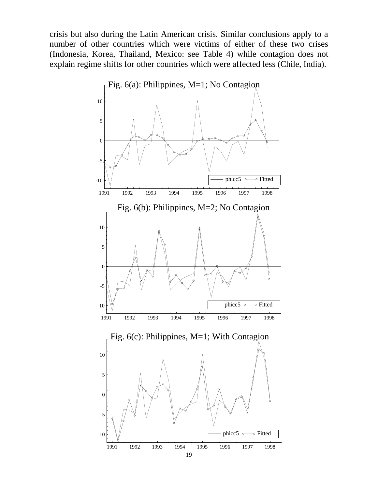crisis but also during the Latin American crisis. Similar conclusions apply to a number of other countries which were victims of either of these two crises (Indonesia, Korea, Thailand, Mexico: see Table 4) while contagion does not explain regime shifts for other countries which were affected less (Chile, India).

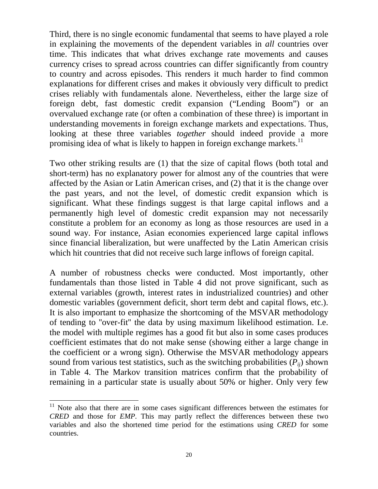Third, there is no single economic fundamental that seems to have played a role in explaining the movements of the dependent variables in *all* countries over time. This indicates that what drives exchange rate movements and causes currency crises to spread across countries can differ significantly from country to country and across episodes. This renders it much harder to find common explanations for different crises and makes it obviously very difficult to predict crises reliably with fundamentals alone. Nevertheless, either the large size of foreign debt, fast domestic credit expansion ("Lending Boom") or an overvalued exchange rate (or often a combination of these three) is important in understanding movements in foreign exchange markets and expectations. Thus, looking at these three variables *together* should indeed provide a more promising idea of what is likely to happen in foreign exchange markets.<sup>11</sup>

Two other striking results are (1) that the size of capital flows (both total and short-term) has no explanatory power for almost any of the countries that were affected by the Asian or Latin American crises, and (2) that it is the change over the past years, and not the level, of domestic credit expansion which is significant. What these findings suggest is that large capital inflows and a permanently high level of domestic credit expansion may not necessarily constitute a problem for an economy as long as those resources are used in a sound way. For instance, Asian economies experienced large capital inflows since financial liberalization, but were unaffected by the Latin American crisis which hit countries that did not receive such large inflows of foreign capital.

A number of robustness checks were conducted. Most importantly, other fundamentals than those listed in Table 4 did not prove significant, such as external variables (growth, interest rates in industrialized countries) and other domestic variables (government deficit, short term debt and capital flows, etc.). It is also important to emphasize the shortcoming of the MSVAR methodology of tending to ''over-fit'' the data by using maximum likelihood estimation. I.e. the model with multiple regimes has a good fit but also in some cases produces coefficient estimates that do not make sense (showing either a large change in the coefficient or a wrong sign). Otherwise the MSVAR methodology appears sound from various test statistics, such as the switching probabilities  $(P_{ii})$  shown in Table 4. The Markov transition matrices confirm that the probability of remaining in a particular state is usually about 50% or higher. Only very few

 $\overline{a}$ 

<sup>&</sup>lt;sup>11</sup> Note also that there are in some cases significant differences between the estimates for *CRED* and those for *EMP*. This may partly reflect the differences between these two variables and also the shortened time period for the estimations using *CRED* for some countries.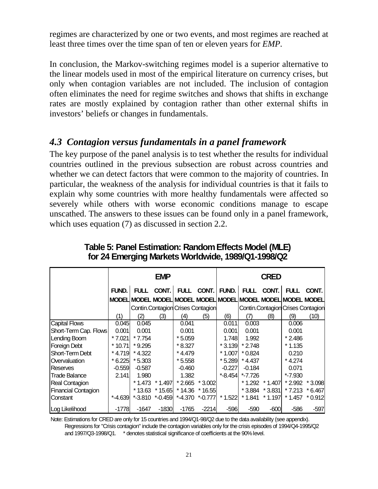regimes are characterized by one or two events, and most regimes are reached at least three times over the time span of ten or eleven years for *EMP*.

In conclusion, the Markov-switching regimes model is a superior alternative to the linear models used in most of the empirical literature on currency crises, but only when contagion variables are not included. The inclusion of contagion often eliminates the need for regime switches and shows that shifts in exchange rates are mostly explained by contagion rather than other external shifts in investors' beliefs or changes in fundamentals.

### *4.3 Contagion versus fundamentals in a panel framework*

The key purpose of the panel analysis is to test whether the results for individual countries outlined in the previous subsection are robust across countries and whether we can detect factors that were common to the majority of countries. In particular, the weakness of the analysis for individual countries is that it fails to explain why some countries with more healthy fundamentals were affected so severely while others with worse economic conditions manage to escape unscathed. The answers to these issues can be found only in a panel framework, which uses equation (7) as discussed in section 2.2.

|                       |           |             | <b>EMP</b> |                                                             |            | <b>CRED</b> |             |           |                                   |                 |  |
|-----------------------|-----------|-------------|------------|-------------------------------------------------------------|------------|-------------|-------------|-----------|-----------------------------------|-----------------|--|
|                       | FUND.     | <b>FULL</b> | CONT.      |                                                             | FULL CONT. | FUND.       | <b>FULL</b> | CONT.     | <b>FULL</b>                       | CONT.           |  |
|                       |           |             |            | MODEL MODEL MODEL MODEL MODEL MODEL MODEL MODEL MODEL MODEL |            |             |             |           |                                   |                 |  |
|                       |           |             |            | Contin Contagion Crises Contagion                           |            |             |             |           | Contin Contagion Crises Contagion |                 |  |
|                       | (1)       | (2)         | (3)        | (4)                                                         | (5)        | (6)         | (7)         | (8)       | (9)                               | (10)            |  |
| <b>Capital Flows</b>  | 0.045     | 0.045       |            | 0.041                                                       |            | 0.011       | 0.003       |           | 0.006                             |                 |  |
| Short-Term Cap. Flows | 0.001     | 0.001       |            | 0.001                                                       |            | 0.001       | 0.001       |           | 0.001                             |                 |  |
| Lending Boom          | * 7.021   | * 7.754     |            | $*5.059$                                                    |            | 1.748       | 1.992       |           | $*2.486$                          |                 |  |
| Foreign Debt          | $*$ 10.71 | $*9.295$    |            | $*8.327$                                                    |            | $*3.139$    | $*2.748$    |           | $*1.135$                          |                 |  |
| Short-Term Debt       | * 4.719   | $*$ 4.322   |            | * 4.479                                                     |            | $*1.007$    | $*0.824$    |           | 0.210                             |                 |  |
| Overvaluation         | $*6.225$  | $*5.303$    |            | $*5.558$                                                    |            | $*5.289$    | $*4.437$    |           | * 4.274                           |                 |  |
| <b>Reserves</b>       | $-0.559$  | $-0.587$    |            | $-0.460$                                                    |            | $-0.227$    | $-0.184$    |           | 0.071                             |                 |  |
| <b>Trade Balance</b>  | 2.141     | 1.980       |            | 1.382                                                       |            | $*$ -8.454  | $*$ -7.726  |           | $*$ -7.930                        |                 |  |
| Real Contagion        |           | * 1.473     | * 1.497    | $*2.665$                                                    | * 3.002    |             | * 1.292     | * 1.407   |                                   | * 2.992 * 3.098 |  |
| Financial Contagion   |           | * 13.63     | $* 15.65$  | * 14.36                                                     | * 16.551   |             | $*3.884$    | $*3.831$  | $*7.213$                          | $*6.467$        |  |
| Constant              | $*-4.639$ |             |            | $*$ -3.810 $*$ -0.459 $*$ -4.370                            | $*$ -0.777 | $*1.522$    | $*1.841$    | $*$ 1.197 | $*1.457$                          | $*0.912$        |  |
| Log Likelihood        | -17781    | -1647       | $-1830$    | $-1765$                                                     | $-2214$    | $-596$      | $-590$      | $-600$    | $-586$                            | -597            |  |

**Table 5: Panel Estimation: Random Effects Model (MLE) for 24 Emerging Markets Worldwide, 1989/Q1-1998/Q2**

Note: Estimations for CRED are only for 15 countries and 1994/Q1-98/Q2 due to the data availability (see appendix). Regressions for "Crisis contagion" include the contagion variables only for the crisis episodes of 1994/Q4-1995/Q2 and 1997/Q3-1998/Q1. \* denotes statistical significance of coefficients at the 90% level.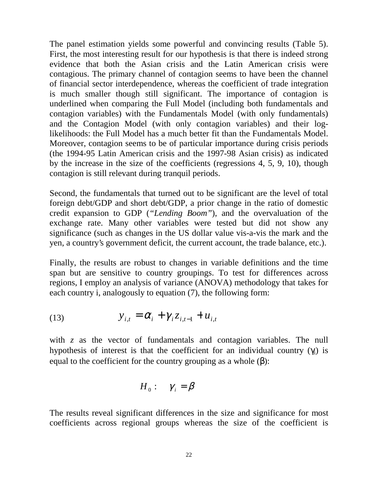The panel estimation yields some powerful and convincing results (Table 5). First, the most interesting result for our hypothesis is that there is indeed strong evidence that both the Asian crisis and the Latin American crisis were contagious. The primary channel of contagion seems to have been the channel of financial sector interdependence, whereas the coefficient of trade integration is much smaller though still significant. The importance of contagion is underlined when comparing the Full Model (including both fundamentals and contagion variables) with the Fundamentals Model (with only fundamentals) and the Contagion Model (with only contagion variables) and their loglikelihoods: the Full Model has a much better fit than the Fundamentals Model. Moreover, contagion seems to be of particular importance during crisis periods (the 1994-95 Latin American crisis and the 1997-98 Asian crisis) as indicated by the increase in the size of the coefficients (regressions 4, 5, 9, 10), though contagion is still relevant during tranquil periods.

Second, the fundamentals that turned out to be significant are the level of total foreign debt/GDP and short debt/GDP, a prior change in the ratio of domestic credit expansion to GDP (*"Lending Boom"*), and the overvaluation of the exchange rate. Many other variables were tested but did not show any significance (such as changes in the US dollar value vis-a-vis the mark and the yen, a country's government deficit, the current account, the trade balance, etc.).

Finally, the results are robust to changes in variable definitions and the time span but are sensitive to country groupings. To test for differences across regions, I employ an analysis of variance (ANOVA) methodology that takes for each country i, analogously to equation (7), the following form:

(13) 
$$
y_{i,t} = \alpha_i + \gamma_i z_{i,t-1} + u_{i,t}
$$

with *z* as the vector of fundamentals and contagion variables. The null hypothesis of interest is that the coefficient for an individual country  $(\gamma_i)$  is equal to the coefficient for the country grouping as a whole  $(\beta)$ :

$$
H_0: \quad \gamma_i = \beta
$$

The results reveal significant differences in the size and significance for most coefficients across regional groups whereas the size of the coefficient is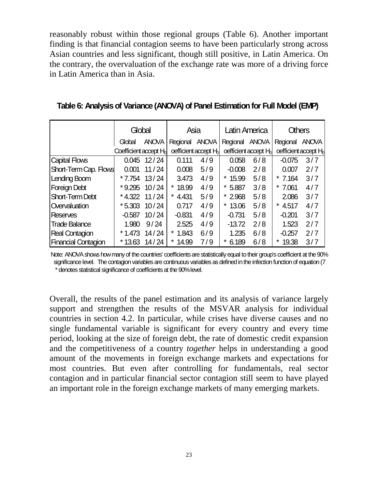reasonably robust within those regional groups (Table 6). Another important finding is that financial contagion seems to have been particularly strong across Asian countries and less significant, though still positive, in Latin America. On the contrary, the overvaluation of the exchange rate was more of a driving force in Latin America than in Asia.

|                        | Global                            |                  | Asia           |                                    | Latin America  |                                  | <b>Others</b> |                                  |  |
|------------------------|-----------------------------------|------------------|----------------|------------------------------------|----------------|----------------------------------|---------------|----------------------------------|--|
|                        | Global                            | <b>ANOVA</b>     | Regional ANOVA |                                    | Regional ANOVA |                                  | Regional      | <b>ANOVA</b>                     |  |
|                        | Coefficient accept H <sub>o</sub> |                  |                | oefficient accept H <sub>o</sub> l |                | oefficient accept H <sub>o</sub> |               | oefficient accept H <sub>o</sub> |  |
| <b>Capital Flows</b>   |                                   | $0.045$ 12/24    | 0.111          | 4/9                                | 0.058          | 6/8                              | $-0.075$      | 3/7                              |  |
| Short-Term Cap. Flows  | 0.001                             | 11/24            | 0.008          | 5/9                                | $-0.008$       | 2/8                              | 0.007         | 2/7                              |  |
| Lending Boom           | $*7.754$                          | 13/24            | 3.473          | 4/9                                | *<br>15.99     | 5/8                              | $*7.164$      | 3/7                              |  |
| Foreign Debt           |                                   | $*9.295$ 10 / 24 | 18.99<br>*     | 4/9                                | *<br>5.887     | 3/8                              | $*7.061$      | 4/7                              |  |
| <b>Short-Term Debt</b> |                                   | $*4.322$ 11 / 24 | 4.431<br>*     | 5/9                                | 2.968          | 5/8                              | 2.086         | 3/7                              |  |
| Overvaluation          |                                   | $*5.303$ 10/24   | 0.717          | 4/9                                | *<br>13.06     | 5/8                              | 4.517         | 4/7                              |  |
| <b>Reserves</b>        | $-0.587$                          | 10/24            | $-0.831$       | 4/9                                | $-0.731$       | 5/8                              | $-0.201$      | 3/7                              |  |
| <b>Trade Balance</b>   | 1.980                             | 9/24             | 2.525          | 4/9                                | $-13.72$       | 2/8                              | 1.523         | 2/7                              |  |
| <b>Real Contagion</b>  |                                   | $*1.473$ 14 / 24 | *<br>1.843     | 6/9                                | 1.235          | 6/8                              | $-0.257$      | 2/7                              |  |
| Financial Contagion    | $*13.63$                          | 14/24            | *<br>14.99     | 7/9                                | *<br>6.189     | 6/8                              | 19.38<br>*    | 3/7                              |  |

**Table 6: Analysis of Variance (ANOVA) of Panel Estimation for Full Model (EMP)**

Note: ANOVA shows how many of the countries' coefficients are statistically equal to their group's coefficient at the 90% significance level. The contagion variables are continuous variables as defined in the infection function of equation (7) \* denotes statistical significance of coefficients at the 90% level.

Overall, the results of the panel estimation and its analysis of variance largely support and strengthen the results of the MSVAR analysis for individual countries in section 4.2. In particular, while crises have diverse causes and no single fundamental variable is significant for every country and every time period, looking at the size of foreign debt, the rate of domestic credit expansion and the competitiveness of a country *together* helps in understanding a good amount of the movements in foreign exchange markets and expectations for most countries. But even after controlling for fundamentals, real sector contagion and in particular financial sector contagion still seem to have played an important role in the foreign exchange markets of many emerging markets.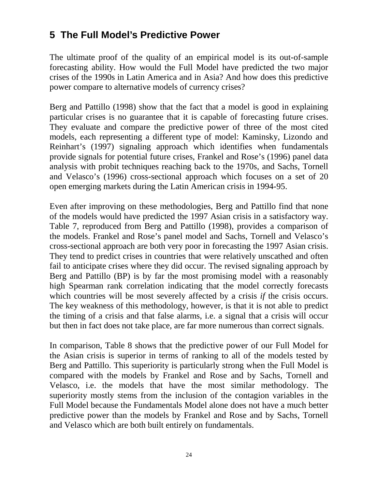# **5 The Full Model's Predictive Power**

The ultimate proof of the quality of an empirical model is its out-of-sample forecasting ability. How would the Full Model have predicted the two major crises of the 1990s in Latin America and in Asia? And how does this predictive power compare to alternative models of currency crises?

Berg and Pattillo (1998) show that the fact that a model is good in explaining particular crises is no guarantee that it is capable of forecasting future crises. They evaluate and compare the predictive power of three of the most cited models, each representing a different type of model: Kaminsky, Lizondo and Reinhart's (1997) signaling approach which identifies when fundamentals provide signals for potential future crises, Frankel and Rose's (1996) panel data analysis with probit techniques reaching back to the 1970s, and Sachs, Tornell and Velasco's (1996) cross-sectional approach which focuses on a set of 20 open emerging markets during the Latin American crisis in 1994-95.

Even after improving on these methodologies, Berg and Pattillo find that none of the models would have predicted the 1997 Asian crisis in a satisfactory way. Table 7, reproduced from Berg and Pattillo (1998), provides a comparison of the models. Frankel and Rose's panel model and Sachs, Tornell and Velasco's cross-sectional approach are both very poor in forecasting the 1997 Asian crisis. They tend to predict crises in countries that were relatively unscathed and often fail to anticipate crises where they did occur. The revised signaling approach by Berg and Pattillo (BP) is by far the most promising model with a reasonably high Spearman rank correlation indicating that the model correctly forecasts which countries will be most severely affected by a crisis *if* the crisis occurs. The key weakness of this methodology, however, is that it is not able to predict the timing of a crisis and that false alarms, i.e. a signal that a crisis will occur but then in fact does not take place, are far more numerous than correct signals.

In comparison, Table 8 shows that the predictive power of our Full Model for the Asian crisis is superior in terms of ranking to all of the models tested by Berg and Pattillo. This superiority is particularly strong when the Full Model is compared with the models by Frankel and Rose and by Sachs, Tornell and Velasco, i.e. the models that have the most similar methodology. The superiority mostly stems from the inclusion of the contagion variables in the Full Model because the Fundamentals Model alone does not have a much better predictive power than the models by Frankel and Rose and by Sachs, Tornell and Velasco which are both built entirely on fundamentals.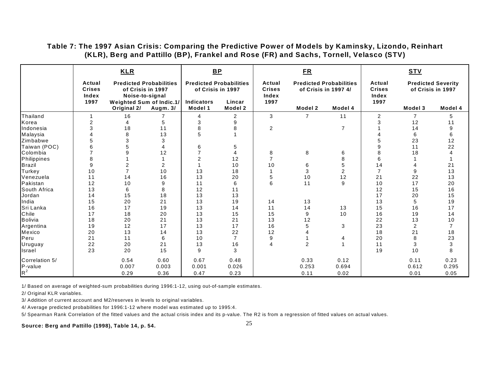#### **Table 7: The 1997 Asian Crisis: Comparing the Predictive Power of Models by Kaminsky, Lizondo, Reinhart (KLR), Berg and Pattillo (BP), Frankel and Rose (FR) and Sachs, Tornell, Velasco (STV)**

|                |                                          | <b>KLR</b>                                                             |          |                                                     | $B$ $P$           |                                          | ER             |                                                        |                                          | <b>STV</b>     |                                                |
|----------------|------------------------------------------|------------------------------------------------------------------------|----------|-----------------------------------------------------|-------------------|------------------------------------------|----------------|--------------------------------------------------------|------------------------------------------|----------------|------------------------------------------------|
|                | Actual<br><b>Crises</b><br>Index<br>1997 | <b>Predicted Probabilities</b><br>of Crisis in 1997<br>Noise-to-signal |          | <b>Predicted Probabilities</b><br>of Crisis in 1997 |                   | Actual<br><b>Crises</b><br>Index<br>1997 |                | <b>Predicted Probabilities</b><br>of Crisis in 1997 4/ | Actual<br><b>Crises</b><br>Index<br>1997 |                | <b>Predicted Severity</b><br>of Crisis in 1997 |
|                |                                          | Weighted Sum of Indic.1/<br>Original 2/                                | Augm. 3/ | <b>Indicators</b><br>Model 1                        | Lincar<br>Model 2 |                                          | Model 2        | Model 4                                                |                                          | Model 3        | Model 4                                        |
| Thailand       |                                          | 16                                                                     |          | 4                                                   | $\overline{2}$    | 3                                        | 7              | 11                                                     | 2                                        | $\overline{7}$ | 5                                              |
| Korea          | $\overline{2}$                           | 4                                                                      | 5        | 3                                                   | 9                 |                                          |                |                                                        | 3                                        | 12             | 11                                             |
| Indonesia      | 3                                        | 18                                                                     | 11       | 8                                                   | 8                 | $\overline{2}$                           |                | $\overline{7}$                                         |                                          | 14             | 9                                              |
| Malaysia       |                                          | 8                                                                      | 13       | 5                                                   |                   |                                          |                |                                                        |                                          | 6              | 6                                              |
| Zimbabwe       |                                          | 3                                                                      | 3        |                                                     |                   |                                          |                |                                                        |                                          | 23             | 12                                             |
| Taiwan (POC)   |                                          |                                                                        |          | 6                                                   | 5                 |                                          |                |                                                        | 9                                        | 11             | 22                                             |
| Colombia       |                                          |                                                                        | 12       | 7                                                   | 4                 | 8                                        | 8              | 6                                                      | 8                                        | 18             |                                                |
| Philippines    | 8                                        |                                                                        |          | $\overline{2}$                                      | 12                | 7                                        |                | 8                                                      | 6                                        |                |                                                |
| <b>Brazil</b>  | 9                                        | $\overline{2}$                                                         | 2        |                                                     | 10                | 10                                       | 6              | 5                                                      | 14                                       |                | 21                                             |
| Turkey         | 10                                       |                                                                        | 10       | 13                                                  | 18                | 1                                        | 3              | $\overline{2}$                                         | $\overline{7}$                           | 9              | 13                                             |
| Venezuela      | 11                                       | 14                                                                     | 16       | 13                                                  | 20                | 5                                        | 10             | 12                                                     | 21                                       | 22             | 13                                             |
| Pakistan       | 12                                       | 10                                                                     | 9        | 11                                                  | 6                 | 6                                        | 11             | 9                                                      | 10                                       | 17             | 20                                             |
| South Africa   | 13                                       | 6                                                                      | 8        | 12                                                  | 11                |                                          |                |                                                        | 12                                       | 15             | 16                                             |
| Jordan         | 14                                       | 15                                                                     | 18       | 13                                                  | 13                |                                          |                |                                                        | 17                                       | 20             | 15                                             |
| India          | 15                                       | 20                                                                     | 21       | 13                                                  | 19                | 14                                       | 13             |                                                        | 13                                       | 5              | 19                                             |
| Sri Lanka      | 16                                       | 17                                                                     | 19       | 13                                                  | 14                | 11                                       | 14             | 13                                                     | 15                                       | 16             | 17                                             |
| Chile          | 17                                       | 18                                                                     | 20       | 13                                                  | 15                | 15                                       | 9              | 10                                                     | 16                                       | 19             | 14                                             |
| <b>Bolivia</b> | 18                                       | 20                                                                     | 21       | 13                                                  | 21                | 13                                       | 12             |                                                        | 22                                       | 13             | $10$                                           |
| Argentina      | 19                                       | 12                                                                     | 17       | 13                                                  | 17                | 16                                       | 5              | 3                                                      | 23                                       | $\overline{2}$ | $\overline{7}$                                 |
| Mexico         | 20                                       | 13                                                                     | 14       | 13                                                  | 22                | 12                                       |                |                                                        | 18                                       | 21             | 18                                             |
| Peru           | 21                                       | 11                                                                     | 6        | 10                                                  | $\overline{7}$    | 9                                        |                | 4                                                      | 20                                       | 8              | 23                                             |
| Uruguay        | 22                                       | 20                                                                     | 21       | 13                                                  | 16                | 4                                        | $\overline{2}$ | 1                                                      | 11                                       | 3              | $\ensuremath{\mathsf{3}}$                      |
| Israel         | 23                                       | 20                                                                     | 15       | 9                                                   | 3                 |                                          |                |                                                        | 19                                       | 10             | 8                                              |
| Correlation 5/ |                                          | 0.54                                                                   | 0.60     | 0.67                                                | 0.48              |                                          | 0.33           | 0.12                                                   |                                          | 0.11           | 0.23                                           |
| P-value        |                                          | 0.007                                                                  | 0.003    | 0.001                                               | 0.026             |                                          | 0.253          | 0.694                                                  |                                          | 0.612          | 0.295                                          |
| $R^2$          |                                          | 0.29                                                                   | 0.36     | 0.47                                                | 0.23              |                                          | 0.11           | 0.02                                                   |                                          | 0.01           | 0.05                                           |

1/ Based on average of weighted-sum probabilities during 1996:1-12, using out-of-sample estimates.

2/ Original KLR variables.

3/ Addition of current account and M2/reserves in levels to original variables.

4/ Average predicted probabilities for 1996:1-12 where model was estimated up to 1995:4.

5/ Spearman Rank Correlation of the fitted values and the actual crisis index and its p-value. The R2 is from a regression of fitted values on actual values.

**Source: Berg and Pattillo (1998), Table 14, p. 54.**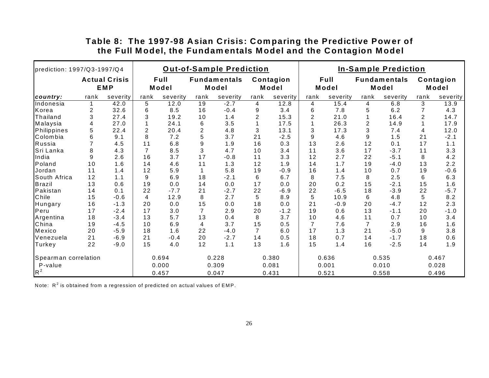| prediction: 1997/Q3-1997/Q4 |                |                             |                |               | <b>Out-of-Sample Prediction</b> |                              |                |                    |                |               | <b>In-Sample Prediction</b> |                              |                |                    |
|-----------------------------|----------------|-----------------------------|----------------|---------------|---------------------------------|------------------------------|----------------|--------------------|----------------|---------------|-----------------------------|------------------------------|----------------|--------------------|
|                             |                | <b>Actual Crisis</b><br>EMP |                | Full<br>Model |                                 | <b>Fundamentals</b><br>Model |                | Contagion<br>Model |                | Full<br>Model |                             | <b>Fundamentals</b><br>Model |                | Contagion<br>Model |
| country:                    | rank           | severity                    | rank           | severity      | rank                            | severity                     | rank           | severity           | rank           | severity      | rank                        | severity                     | rank           | severity           |
| Indonesia                   |                | 42.0                        | 5              | 12.0          | 19                              | $-2.7$                       | 4              | 12.8               | $\overline{4}$ | 15.4          | 4                           | 6.8                          | 3              | 13.9               |
| Korea                       | 2              | 32.6                        | 6              | 8.5           | 16                              | $-0.4$                       | 9              | 3.4                | 6              | 7.8           | 5                           | 6.2                          |                | 4.3                |
| Thailand                    | 3              | 27.4                        | 3              | 19.2          | 10                              | 1.4                          | 2              | 15.3               | $\overline{2}$ | 21.0          |                             | 16.4                         | $\overline{2}$ | 14.7               |
| Malaysia                    | 4              | 27.0                        |                | 24.1          | 6                               | 3.5                          |                | 17.5               |                | 26.3          | 2                           | 14.9                         |                | 17.9               |
| Philippines                 | 5              | 22.4                        | 2              | 20.4          | $\overline{c}$                  | 4.8                          | 3              | 13.1               | 3              | 17.3          | 3                           | 7.4                          | 4              | 12.0               |
| Colombia                    | 6              | 9.1                         | 8              | 7.2           | 5                               | 3.7                          | 21             | $-2.5$             | 9              | 4.6           | 9                           | 1.5                          | 21             | $-2.1$             |
| Russia                      | $\overline{7}$ | 4.5                         | 11             | 6.8           | 9                               | 1.9                          | 16             | 0.3                | 13             | 2.6           | 12                          | 0.1                          | 17             | 1.1                |
| Sri Lanka                   | 8              | 4.3                         | $\overline{7}$ | 8.5           | 3                               | 4.7                          | 10             | 3.4                | 11             | 3.6           | 17                          | $-3.7$                       | 11             | 3.3                |
| India                       | 9              | 2.6                         | 16             | 3.7           | 17                              | $-0.8$                       | 11             | 3.3                | 12             | 2.7           | 22                          | $-5.1$                       | 8              | 4.2                |
| Poland                      | 10             | 1.6                         | 14             | 4.6           | 11                              | 1.3                          | 12             | 1.9                | 14             | 1.7           | 19                          | $-4.0$                       | 13             | 2.2                |
| Jordan                      | 11             | 1.4                         | 12             | 5.9           |                                 | 5.8                          | 19             | $-0.9$             | 16             | 1.4           | 10                          | 0.7                          | 19             | $-0.6$             |
| South Africa                | 12             | 1.1                         | 9              | 6.9           | 18                              | $-2.1$                       | 6              | 6.7                | 8              | 7.5           | 8                           | 2.5                          | 6              | 6.3                |
| Brazil                      | 13             | 0.6                         | 19             | 0.0           | 14                              | 0.0                          | 17             | 0.0                | 20             | 0.2           | 15                          | $-2.1$                       | 15             | 1.6                |
| Pakistan                    | 14             | 0.1                         | 22             | $-7.7$        | 21                              | $-2.7$                       | 22             | $-6.9$             | 22             | $-6.5$        | 18                          | $-3.9$                       | 22             | $-5.7$             |
| Chile                       | 15             | $-0.6$                      | 4              | 12.9          | 8                               | 2.7                          | 5              | 8.9                | 5              | 10.9          | 6                           | 4.8                          | 5              | 8.2                |
| Hungary                     | 16             | $-1.3$                      | 20             | 0.0           | 15                              | 0.0                          | 18             | 0.0                | 21             | $-0.9$        | 20                          | $-4.7$                       | 12             | 2.3                |
| Peru                        | 17             | $-2.4$                      | 17             | 3.0           | $\overline{7}$                  | 2.9                          | 20             | $-1.2$             | 19             | 0.6           | 13                          | $-1.1$                       | 20             | $-1.0$             |
| Argentina                   | 18             | $-3.4$                      | 13             | 5.7           | 13                              | 0.4                          | 8              | 3.7                | 10             | 4.6           | 11                          | 0.7                          | 10             | 3.4                |
| China                       | 19             | $-4.5$                      | 10             | 6.9           | 4                               | 3.7                          | 15             | 0.5                | $\overline{7}$ | 7.6           |                             | 2.9                          | 16             | 1.6                |
| Mexico                      | 20             | $-5.9$                      | 18             | 1.6           | 22                              | $-4.0$                       | $\overline{7}$ | 6.0                | 17             | 1.3           | 21                          | $-5.0$                       | 9              | 3.8                |
| Venezuela                   | 21             | $-6.9$                      | 21             | $-0.4$        | 20                              | $-2.7$                       | 14             | 0.5                | 18             | 0.7           | 14                          | $-1.7$                       | 18             | 0.6                |
| Turkey                      | 22             | $-9.0$                      | 15             | 4.0           | 12                              | 1.1                          | 13             | 1.6                | 15             | 1.4           | 16                          | $-2.5$                       | 14             | 1.9                |
| Spearman correlation        |                |                             |                | 0.694         |                                 | 0.228                        |                | 0.380              |                | 0.636         |                             | 0.535                        |                | 0.467              |
| P-value                     |                |                             |                | 0.000         |                                 | 0.309                        |                | 0.081              |                | 0.001         |                             | 0.010                        |                | 0.028              |
| $R^2$                       |                |                             |                | 0.457         |                                 | 0.047                        |                | 0.431              |                | 0.521         |                             | 0.558                        |                | 0.496              |

### **Table 8: The 1997-98 Asian Crisis: Comparing the Predictive Power of the Full Model, the Fundamentals Model and the Contagion Model**

Note:  $R^2$  is obtained from a regression of predicted on actual values of EMP.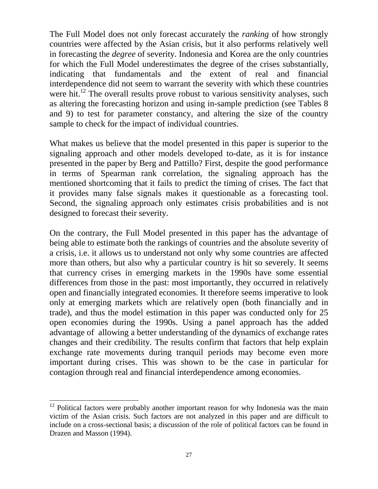The Full Model does not only forecast accurately the *ranking* of how strongly countries were affected by the Asian crisis, but it also performs relatively well in forecasting the *degree* of severity. Indonesia and Korea are the only countries for which the Full Model underestimates the degree of the crises substantially, indicating that fundamentals and the extent of real and financial interdependence did not seem to warrant the severity with which these countries were hit.<sup>12</sup> The overall results prove robust to various sensitivity analyses, such as altering the forecasting horizon and using in-sample prediction (see Tables 8 and 9) to test for parameter constancy, and altering the size of the country sample to check for the impact of individual countries.

What makes us believe that the model presented in this paper is superior to the signaling approach and other models developed to-date, as it is for instance presented in the paper by Berg and Pattillo? First, despite the good performance in terms of Spearman rank correlation, the signaling approach has the mentioned shortcoming that it fails to predict the timing of crises. The fact that it provides many false signals makes it questionable as a forecasting tool. Second, the signaling approach only estimates crisis probabilities and is not designed to forecast their severity.

On the contrary, the Full Model presented in this paper has the advantage of being able to estimate both the rankings of countries and the absolute severity of a crisis, i.e. it allows us to understand not only why some countries are affected more than others, but also why a particular country is hit so severely. It seems that currency crises in emerging markets in the 1990s have some essential differences from those in the past: most importantly, they occurred in relatively open and financially integrated economies. It therefore seems imperative to look only at emerging markets which are relatively open (both financially and in trade), and thus the model estimation in this paper was conducted only for 25 open economies during the 1990s. Using a panel approach has the added advantage of allowing a better understanding of the dynamics of exchange rates changes and their credibility. The results confirm that factors that help explain exchange rate movements during tranquil periods may become even more important during crises. This was shown to be the case in particular for contagion through real and financial interdependence among economies.

 $\overline{a}$ 

 $12$  Political factors were probably another important reason for why Indonesia was the main victim of the Asian crisis. Such factors are not analyzed in this paper and are difficult to include on a cross-sectional basis; a discussion of the role of political factors can be found in Drazen and Masson (1994).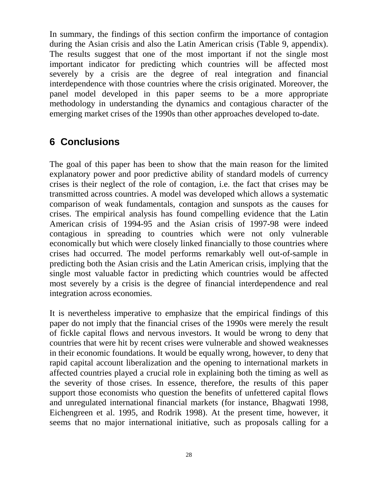In summary, the findings of this section confirm the importance of contagion during the Asian crisis and also the Latin American crisis (Table 9, appendix). The results suggest that one of the most important if not the single most important indicator for predicting which countries will be affected most severely by a crisis are the degree of real integration and financial interdependence with those countries where the crisis originated. Moreover, the panel model developed in this paper seems to be a more appropriate methodology in understanding the dynamics and contagious character of the emerging market crises of the 1990s than other approaches developed to-date.

# **6 Conclusions**

The goal of this paper has been to show that the main reason for the limited explanatory power and poor predictive ability of standard models of currency crises is their neglect of the role of contagion, i.e. the fact that crises may be transmitted across countries. A model was developed which allows a systematic comparison of weak fundamentals, contagion and sunspots as the causes for crises. The empirical analysis has found compelling evidence that the Latin American crisis of 1994-95 and the Asian crisis of 1997-98 were indeed contagious in spreading to countries which were not only vulnerable economically but which were closely linked financially to those countries where crises had occurred. The model performs remarkably well out-of-sample in predicting both the Asian crisis and the Latin American crisis, implying that the single most valuable factor in predicting which countries would be affected most severely by a crisis is the degree of financial interdependence and real integration across economies.

It is nevertheless imperative to emphasize that the empirical findings of this paper do not imply that the financial crises of the 1990s were merely the result of fickle capital flows and nervous investors. It would be wrong to deny that countries that were hit by recent crises were vulnerable and showed weaknesses in their economic foundations. It would be equally wrong, however, to deny that rapid capital account liberalization and the opening to international markets in affected countries played a crucial role in explaining both the timing as well as the severity of those crises. In essence, therefore, the results of this paper support those economists who question the benefits of unfettered capital flows and unregulated international financial markets (for instance, Bhagwati 1998, Eichengreen et al. 1995, and Rodrik 1998). At the present time, however, it seems that no major international initiative, such as proposals calling for a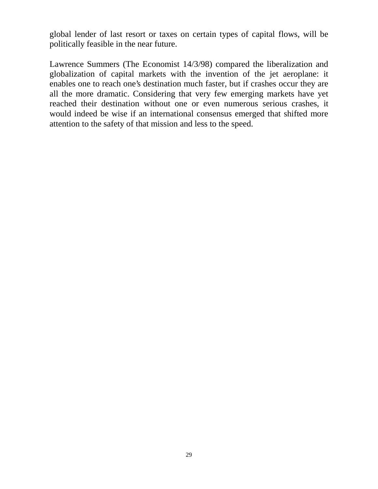global lender of last resort or taxes on certain types of capital flows, will be politically feasible in the near future.

Lawrence Summers (The Economist 14/3/98) compared the liberalization and globalization of capital markets with the invention of the jet aeroplane: it enables one to reach one's destination much faster, but if crashes occur they are all the more dramatic. Considering that very few emerging markets have yet reached their destination without one or even numerous serious crashes, it would indeed be wise if an international consensus emerged that shifted more attention to the safety of that mission and less to the speed.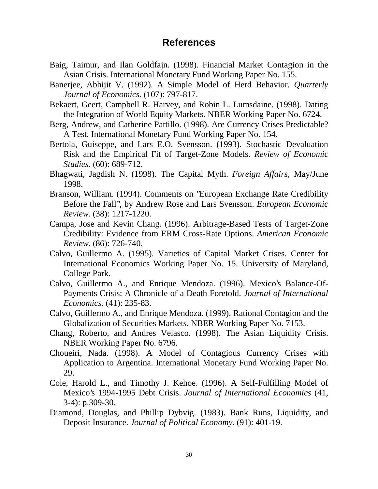### **References**

- Baig, Taimur, and Ilan Goldfajn. (1998). Financial Market Contagion in the Asian Crisis. International Monetary Fund Working Paper No. 155.
- Banerjee, Abhijit V. (1992). A Simple Model of Herd Behavior. *Quarterly Journal of Economics*. (107): 797-817.
- Bekaert, Geert, Campbell R. Harvey, and Robin L. Lumsdaine. (1998). Dating the Integration of World Equity Markets. NBER Working Paper No. 6724.
- Berg, Andrew, and Catherine Pattillo. (1998). Are Currency Crises Predictable? A Test. International Monetary Fund Working Paper No. 154.
- Bertola, Guiseppe, and Lars E.O. Svensson. (1993). Stochastic Devaluation Risk and the Empirical Fit of Target-Zone Models. *Review of Economic Studies*. (60): 689-712.
- Bhagwati, Jagdish N. (1998). The Capital Myth. *Foreign Affairs*, May/June 1998.
- Branson, William. (1994). Comments on ''European Exchange Rate Credibility Before the Fall'', by Andrew Rose and Lars Svensson. *European Economic Review*. (38): 1217-1220.
- Campa, Jose and Kevin Chang. (1996). Arbitrage-Based Tests of Target-Zone Credibility: Evidence from ERM Cross-Rate Options. *American Economic Review*. (86): 726-740.
- Calvo, Guillermo A. (1995). Varieties of Capital Market Crises. Center for International Economics Working Paper No. 15. University of Maryland, College Park.
- Calvo, Guillermo A., and Enrique Mendoza. (1996). Mexico's Balance-Of-Payments Crisis: A Chronicle of a Death Foretold. *Journal of International Economics*. (41): 235-83.
- Calvo, Guillermo A., and Enrique Mendoza. (1999). Rational Contagion and the Globalization of Securities Markets. NBER Working Paper No. 7153.
- Chang, Roberto, and Andres Velasco. (1998). The Asian Liquidity Crisis. NBER Working Paper No. 6796.
- Choueiri, Nada. (1998). A Model of Contagious Currency Crises with Application to Argentina. International Monetary Fund Working Paper No. 29.
- Cole, Harold L., and Timothy J. Kehoe. (1996). A Self-Fulfilling Model of Mexico's 1994-1995 Debt Crisis. *Journal of International Economics* (41, 3-4): p.309-30.
- Diamond, Douglas, and Phillip Dybvig. (1983). Bank Runs, Liquidity, and Deposit Insurance. *Journal of Political Economy*. (91): 401-19.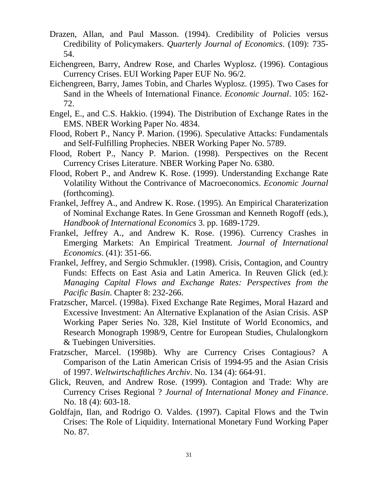- Drazen, Allan, and Paul Masson. (1994). Credibility of Policies versus Credibility of Policymakers. *Quarterly Journal of Economics*. (109): 735- 54.
- Eichengreen, Barry, Andrew Rose, and Charles Wyplosz. (1996). Contagious Currency Crises. EUI Working Paper EUF No. 96/2.
- Eichengreen, Barry, James Tobin, and Charles Wyplosz. (1995). Two Cases for Sand in the Wheels of International Finance. *Economic Journal*. 105: 162- 72.
- Engel, E., and C.S. Hakkio. (1994). The Distribution of Exchange Rates in the EMS. NBER Working Paper No. 4834.
- Flood, Robert P., Nancy P. Marion. (1996). Speculative Attacks: Fundamentals and Self-Fulfilling Prophecies. NBER Working Paper No. 5789.
- Flood, Robert P., Nancy P. Marion. (1998). Perspectives on the Recent Currency Crises Literature. NBER Working Paper No. 6380.
- Flood, Robert P., and Andrew K. Rose. (1999). Understanding Exchange Rate Volatility Without the Contrivance of Macroeconomics. *Economic Journal* (forthcoming).
- Frankel, Jeffrey A., and Andrew K. Rose. (1995). An Empirical Charaterization of Nominal Exchange Rates. In Gene Grossman and Kenneth Rogoff (eds.), *Handbook of International Economics* 3. pp. 1689-1729.
- Frankel, Jeffrey A., and Andrew K. Rose. (1996). Currency Crashes in Emerging Markets: An Empirical Treatment. *Journal of International Economics*. (41): 351-66.
- Frankel, Jeffrey, and Sergio Schmukler. (1998). Crisis, Contagion, and Country Funds: Effects on East Asia and Latin America. In Reuven Glick (ed.): *Managing Capital Flows and Exchange Rates: Perspectives from the Pacific Basin*. Chapter 8: 232-266.
- Fratzscher, Marcel. (1998a). Fixed Exchange Rate Regimes, Moral Hazard and Excessive Investment: An Alternative Explanation of the Asian Crisis. ASP Working Paper Series No. 328, Kiel Institute of World Economics, and Research Monograph 1998/9, Centre for European Studies, Chulalongkorn & Tuebingen Universities.
- Fratzscher, Marcel. (1998b). Why are Currency Crises Contagious? A Comparison of the Latin American Crisis of 1994-95 and the Asian Crisis of 1997. *Weltwirtschaftliches Archiv*. No. 134 (4): 664-91.
- Glick, Reuven, and Andrew Rose. (1999). Contagion and Trade: Why are Currency Crises Regional ? *Journal of International Money and Finance*. No. 18 (4): 603-18.
- Goldfajn, Ilan, and Rodrigo O. Valdes. (1997). Capital Flows and the Twin Crises: The Role of Liquidity. International Monetary Fund Working Paper No. 87.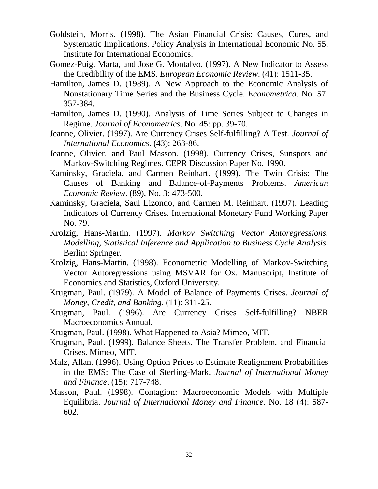- Goldstein, Morris. (1998). The Asian Financial Crisis: Causes, Cures, and Systematic Implications. Policy Analysis in International Economic No. 55. Institute for International Economics.
- Gomez-Puig, Marta, and Jose G. Montalvo. (1997). A New Indicator to Assess the Credibility of the EMS. *European Economic Review*. (41): 1511-35.
- Hamilton, James D. (1989). A New Approach to the Economic Analysis of Nonstationary Time Series and the Business Cycle. *Econometrica*. No. 57: 357-384.
- Hamilton, James D. (1990). Analysis of Time Series Subject to Changes in Regime. *Journal of Econometrics*. No. 45: pp. 39-70.
- Jeanne, Olivier. (1997). Are Currency Crises Self-fulfilling? A Test. *Journal of International Economics*. (43): 263-86.
- Jeanne, Olivier, and Paul Masson. (1998). Currency Crises, Sunspots and Markov-Switching Regimes. CEPR Discussion Paper No. 1990.
- Kaminsky, Graciela, and Carmen Reinhart. (1999). The Twin Crisis: The Causes of Banking and Balance-of-Payments Problems. *American Economic Review*. (89), No. 3: 473-500.
- Kaminsky, Graciela, Saul Lizondo, and Carmen M. Reinhart. (1997). Leading Indicators of Currency Crises. International Monetary Fund Working Paper No. 79.
- Krolzig, Hans-Martin. (1997). *Markov Switching Vector Autoregressions. Modelling, Statistical Inference and Application to Business Cycle Analysis*. Berlin: Springer.
- Krolzig, Hans-Martin. (1998). Econometric Modelling of Markov-Switching Vector Autoregressions using MSVAR for Ox. Manuscript, Institute of Economics and Statistics, Oxford University.
- Krugman, Paul. (1979). A Model of Balance of Payments Crises. *Journal of Money, Credit, and Banking*. (11): 311-25.
- Krugman, Paul. (1996). Are Currency Crises Self-fulfilling? NBER Macroeconomics Annual.
- Krugman, Paul. (1998). What Happened to Asia? Mimeo, MIT.
- Krugman, Paul. (1999). Balance Sheets, The Transfer Problem, and Financial Crises. Mimeo, MIT.
- Malz, Allan. (1996). Using Option Prices to Estimate Realignment Probabilities in the EMS: The Case of Sterling-Mark. *Journal of International Money and Finance*. (15): 717-748.
- Masson, Paul. (1998). Contagion: Macroeconomic Models with Multiple Equilibria. *Journal of International Money and Finance*. No. 18 (4): 587- 602.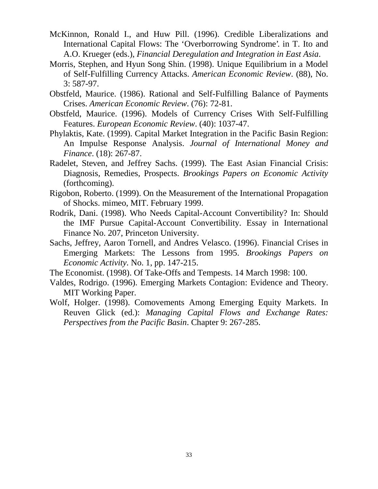- McKinnon, Ronald I., and Huw Pill. (1996). Credible Liberalizations and International Capital Flows: The 'Overborrowing Syndrome'. in T. Ito and A.O. Krueger (eds.), *Financial Deregulation and Integration in East Asia*.
- Morris, Stephen, and Hyun Song Shin. (1998). Unique Equilibrium in a Model of Self-Fulfilling Currency Attacks. *American Economic Review*. (88), No. 3: 587-97.
- Obstfeld, Maurice. (1986). Rational and Self-Fulfilling Balance of Payments Crises. *American Economic Review*. (76): 72-81.
- Obstfeld, Maurice. (1996). Models of Currency Crises With Self-Fulfilling Features. *European Economic Review*. (40): 1037-47.
- Phylaktis, Kate. (1999). Capital Market Integration in the Pacific Basin Region: An Impulse Response Analysis. *Journal of International Money and Finance*. (18): 267-87.
- Radelet, Steven, and Jeffrey Sachs. (1999). The East Asian Financial Crisis: Diagnosis, Remedies, Prospects. *Brookings Papers on Economic Activity* (forthcoming).
- Rigobon, Roberto. (1999). On the Measurement of the International Propagation of Shocks. mimeo, MIT. February 1999.
- Rodrik, Dani. (1998). Who Needs Capital-Account Convertibility? In: Should the IMF Pursue Capital-Account Convertibility. Essay in International Finance No. 207, Princeton University.
- Sachs, Jeffrey, Aaron Tornell, and Andres Velasco. (1996). Financial Crises in Emerging Markets: The Lessons from 1995. *Brookings Papers on Economic Activity.* No. 1, pp. 147-215.
- The Economist. (1998). Of Take-Offs and Tempests. 14 March 1998: 100.
- Valdes, Rodrigo. (1996). Emerging Markets Contagion: Evidence and Theory. MIT Working Paper.
- Wolf, Holger. (1998). Comovements Among Emerging Equity Markets. In Reuven Glick (ed.): *Managing Capital Flows and Exchange Rates: Perspectives from the Pacific Basin*. Chapter 9: 267-285.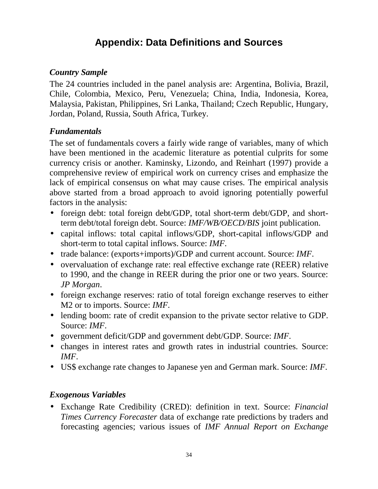# **Appendix: Data Definitions and Sources**

### *Country Sample*

The 24 countries included in the panel analysis are: Argentina, Bolivia, Brazil, Chile, Colombia, Mexico, Peru, Venezuela; China, India, Indonesia, Korea, Malaysia, Pakistan, Philippines, Sri Lanka, Thailand; Czech Republic, Hungary, Jordan, Poland, Russia, South Africa, Turkey.

### *Fundamentals*

The set of fundamentals covers a fairly wide range of variables, many of which have been mentioned in the academic literature as potential culprits for some currency crisis or another. Kaminsky, Lizondo, and Reinhart (1997) provide a comprehensive review of empirical work on currency crises and emphasize the lack of empirical consensus on what may cause crises. The empirical analysis above started from a broad approach to avoid ignoring potentially powerful factors in the analysis:

- foreign debt: total foreign debt/GDP, total short-term debt/GDP, and shortterm debt/total foreign debt. Source: *IMF/WB/OECD/BIS* joint publication.
- capital inflows: total capital inflows/GDP, short-capital inflows/GDP and short-term to total capital inflows. Source: *IMF*.
- trade balance: (exports+imports)/GDP and current account. Source: *IMF*.
- overvaluation of exchange rate: real effective exchange rate (REER) relative to 1990, and the change in REER during the prior one or two years. Source: *JP Morgan*.
- foreign exchange reserves: ratio of total foreign exchange reserves to either M2 or to imports. Source: *IMF*.
- lending boom: rate of credit expansion to the private sector relative to GDP. Source: *IMF*.
- government deficit/GDP and government debt/GDP. Source: *IMF*.
- changes in interest rates and growth rates in industrial countries. Source: *IMF*.
- US\$ exchange rate changes to Japanese yen and German mark. Source: *IMF*.

### *Exogenous Variables*

• Exchange Rate Credibility (CRED): definition in text. Source: *Financial Times Currency Forecaster* data of exchange rate predictions by traders and forecasting agencies; various issues of *IMF Annual Report on Exchange*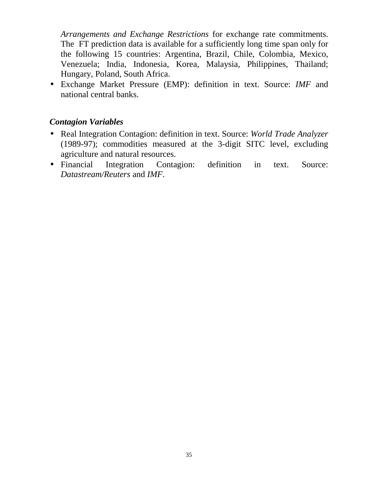*Arrangements and Exchange Restrictions* for exchange rate commitments. The FT prediction data is available for a sufficiently long time span only for the following 15 countries: Argentina, Brazil, Chile, Colombia, Mexico, Venezuela; India, Indonesia, Korea, Malaysia, Philippines, Thailand; Hungary, Poland, South Africa.

• Exchange Market Pressure (EMP): definition in text. Source: *IMF* and national central banks.

### *Contagion Variables*

- Real Integration Contagion: definition in text. Source: *World Trade Analyzer* (1989-97); commodities measured at the 3-digit SITC level, excluding agriculture and natural resources.
- Financial Integration Contagion: definition in text. Source: *Datastream/Reuters* and *IMF*.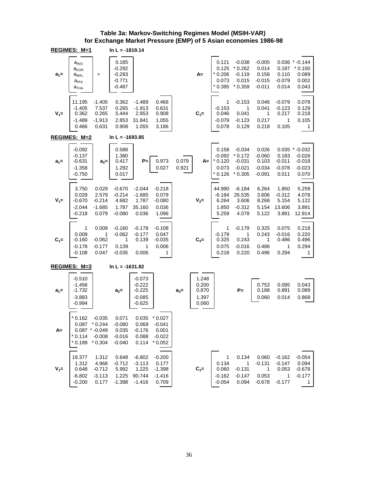#### **Table 3a: Markov-Switching Regimes Model (MSIH-VAR) for Exchange Market Pressure (EMP) of 5 Asian economies 1986-98**

|         | REGIMES: M=1                                                                                      |                                                 | $\ln L = -1819.14$                                    |                                                          |                                                    |                |                                           |                                                    |                                                          |                                                       |                                                |                                                              |
|---------|---------------------------------------------------------------------------------------------------|-------------------------------------------------|-------------------------------------------------------|----------------------------------------------------------|----------------------------------------------------|----------------|-------------------------------------------|----------------------------------------------------|----------------------------------------------------------|-------------------------------------------------------|------------------------------------------------|--------------------------------------------------------------|
| $a_1 =$ | $a_{\text{INO}}$<br>a <sub>kor</sub><br>${\mathsf a}_{\sf{MAL}}$<br>$a_{PHI}$<br>а <sub>тна</sub> | $=$                                             | 0.185<br>$-0.292$<br>$-0.293$<br>$-0.771$<br>$-0.487$ |                                                          |                                                    |                | A=                                        | 0.121<br>0.125<br>$*0.206$<br>0.073<br>$*0.395$    | $-0.038$<br>$*0.262$<br>$-0.119$<br>0.015<br>$*0.359$    | $-0.005$<br>0.014<br>0.158<br>$-0.015$<br>$-0.011$    | 0.197<br>0.110<br>$-0.079$<br>0.014            | $0.036 * 0.144$<br>$*0.100$<br>0.089<br>0.002<br>0.043       |
| $V_1 =$ | 11.195<br>$-1.405$<br>0.362<br>$-1.489$<br>0.466                                                  | $-1.405$<br>7.537<br>0.265<br>$-1.913$<br>0.631 | 0.362<br>0.265<br>5.444<br>2.853<br>0.908             | $-1.489$<br>$-1.913$<br>2.853<br>31.841<br>1.055         | 0.466<br>0.631<br>0.908<br>1.055<br>3.186          |                | $C_1 =$                                   | 1<br>$-0.153$<br>0.046<br>$-0.079$<br>0.078        | $-0.153$<br>1<br>0.041<br>$-0.123$<br>0.129              | 0.046<br>0.041<br>1<br>0.217<br>0.218                 | $-0.079$<br>$-0.123$<br>0.217<br>1<br>0.105    | 0.078<br>0.129<br>0.218<br>0.105<br>1                        |
|         | REGIMES: M=2                                                                                      |                                                 | $\ln L = -1693.85$                                    |                                                          |                                                    |                |                                           |                                                    |                                                          |                                                       |                                                |                                                              |
| $a_1 =$ | $-0.092$<br>$-0.137$<br>$-0.631$<br>$-1.358$<br>$-0.750$                                          | $a_2=$                                          | 0.588<br>1.380<br>0.417<br>1.292<br>0.017             | $P=$                                                     | 0.973<br>0.027                                     | 0.079<br>0.921 | A=                                        | 0.158<br>$-0.092$<br>$*0.120$<br>0.073<br>$*0.126$ | $-0.034$<br>$*0.172$<br>$-0.031$<br>$-0.021$<br>$*0.305$ | 0.026<br>$-0.060$<br>0.103<br>$-0.034$<br>$-0.091$    | 0.183<br>$-0.011$<br>$-0.078$<br>0.011         | $0.035 * 0.032$<br>$-0.026$<br>$-0.018$<br>$-0.023$<br>0.070 |
| $V_1 =$ | 3.750<br>0.029<br>$-0.670$<br>$-2.044$<br>$-0.218$                                                | 0.029<br>2.579<br>$-0.214$<br>$-1.685$<br>0.079 | $-0.670$<br>$-0.214$<br>4.682<br>1.787<br>$-0.080$    | $-2.044$<br>$-1.685$<br>1.787<br>35.160<br>0.036         | $-0.218$<br>0.079<br>$-0.080$<br>0.036<br>1.096    |                | $V_2 =$                                   | 44.990<br>$-6.184$<br>6.264<br>1.850<br>5.259      | $-6.184$<br>26.535<br>3.606<br>$-0.312$<br>4.078         | 6.264<br>3.606<br>8.268<br>5.154<br>5.122             | 1.850<br>$-0.312$<br>5.154<br>13.606<br>3.891  | 5.259<br>4.078<br>5.122<br>3.891<br>12.914                   |
| $C_1 =$ | 1<br>0.009<br>$-0.160$<br>$-0.178$<br>$-0.108$                                                    | 0.009<br>1<br>$-0.062$<br>$-0.177$<br>0.047     | $-0.160$<br>$-0.062$<br>1<br>0.139<br>$-0.035$        | $-0.178$<br>$-0.177$<br>0.139<br>1<br>0.006              | $-0.108$<br>0.047<br>$-0.035$<br>0.006<br>1        |                | $C_{2} =$                                 | 1<br>$-0.179$<br>0.325<br>0.075<br>0.218           | $-0.179$<br>1<br>0.243<br>$-0.016$<br>0.220              | 0.325<br>0.243<br>1<br>0.486<br>0.496                 | 0.075<br>$-0.016$<br>0.486<br>1<br>0.294       | 0.218<br>0.220<br>0.496<br>0.294<br>1                        |
|         | REGIMES: M=3                                                                                      |                                                 | $\ln L = -1631.82$                                    |                                                          |                                                    |                |                                           |                                                    |                                                          |                                                       |                                                |                                                              |
| $a_1 =$ | $-0.510$<br>$-1.456$<br>$-1.732$<br>$-3.883$<br>$-0.994$                                          |                                                 | $a_2 =$                                               | $-0.073$<br>$-0.222$<br>$-0.225$<br>$-0.085$<br>$-0.625$ |                                                    | $a_3=$         | 1.248<br>0.200<br>0.870<br>1.397<br>0.060 |                                                    | $P =$                                                    | 0.753<br>0.188<br>0.060                               | 0.095<br>0.891<br>0.014                        | 0.043<br>0.089<br>0.868                                      |
| A=      | $*0.162$<br>$0.087$ * 0.244<br>$0.087$ * -0.049<br>$*0.114$<br>$*0.189 * 0.304$                   | $-0.035$<br>$-0.008$                            | 0.071<br>$-0.080$<br>0.035<br>$-0.016$<br>$-0.040$    | 0.035<br>$0.069 - 0.041$<br>$-0.176$<br>0.088<br>0.114   | $*0.027$<br>0.001<br>$-0.022$<br>$*0.052$          |                |                                           |                                                    |                                                          |                                                       |                                                |                                                              |
| $V_1 =$ | 19.377<br>1.312<br>0.648<br>$-6.802$<br>$-0.200$                                                  | 1.312<br>4.968<br>$-0.712$<br>$-3.113$<br>0.177 | 0.648<br>$-0.712$<br>5.992<br>1.225<br>$-1.398$       | $-6.802$<br>$-3.113$<br>1.225<br>90.744<br>$-1.416$      | $-0.200$<br>0.177<br>$-1.398$<br>$-1.416$<br>0.709 |                | $C_1 =$                                   | 1<br>0.134<br>0.060<br>$-0.162$<br>$-0.054$        | 0.134<br>1<br>$-0.131$<br>$-0.147$<br>0.094              | 0.060<br>$-0.131$<br>$\mathbf 1$<br>0.053<br>$-0.678$ | $-0.162$<br>$-0.147$<br>0.053<br>1<br>$-0.177$ | $-0.054$<br>0.094<br>$-0.678$<br>$-0.177$<br>1               |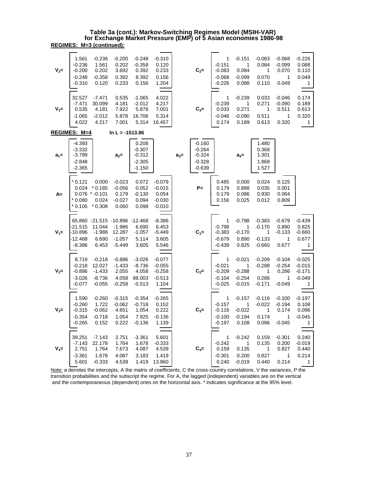|         | <u> REGIMES: M=3 (continued):</u>                        |                                                                        |                                                    |                                                       |                                                       |         |                                                          |                                                   |                                                   |                                                   |                                                        |                                                        |
|---------|----------------------------------------------------------|------------------------------------------------------------------------|----------------------------------------------------|-------------------------------------------------------|-------------------------------------------------------|---------|----------------------------------------------------------|---------------------------------------------------|---------------------------------------------------|---------------------------------------------------|--------------------------------------------------------|--------------------------------------------------------|
| $V_2=$  | 1.561<br>$-0.236$<br>$-0.200$<br>$-0.248$<br>$-0.310$    | $-0.236$<br>1.561<br>0.202<br>$-0.358$<br>0.120                        | $-0.200$<br>0.202<br>3.692<br>0.392<br>0.233       | $-0.248$<br>$-0.358$<br>0.392<br>8.392<br>0.156       | $-0.310$<br>0.120<br>0.233<br>0.156<br>1.204          |         | $C_2=$                                                   | 1<br>$-0.151$<br>$-0.083$<br>$-0.068$<br>$-0.226$ | $-0.151$<br>1<br>0.084<br>$-0.099$<br>0.088       | $-0.083$<br>0.084<br>1<br>0.070<br>0.110          | $-0.068$<br>$-0.099$<br>0.070<br>$\mathbf{1}$<br>0.049 | $-0.226$<br>0.088<br>0.110<br>0.049<br>1               |
| $V_3 =$ | 32.527<br>$-7.471$<br>0.535<br>$-1.065$<br>4.022         | $-7.471$<br>30.099<br>4.181<br>$-2.012$<br>4.217                       | 0.535<br>4.181<br>7.922<br>5.878<br>7.001          | $-1.065$<br>$-2.012$<br>5.878<br>16.706<br>5.314      | 4.022<br>4.217<br>7.001<br>5.314<br>16.457            |         | $C_{3} =$                                                | 1<br>$-0.239$<br>0.033<br>$-0.046$<br>0.174       | $-0.239$<br>1<br>0.271<br>$-0.090$<br>0.189       | 0.033<br>0.271<br>1<br>0.511<br>0.613             | $-0.046$<br>$-0.090$<br>0.511<br>1<br>0.320            | 0.174<br>0.189<br>0.613<br>0.320<br>$\mathbf{1}$       |
|         | REGIMES: M=4                                             |                                                                        | $\ln L = -1513.86$                                 |                                                       |                                                       |         |                                                          |                                                   |                                                   |                                                   |                                                        |                                                        |
| $a_1 =$ | $-4.393$<br>$-3.332$<br>$-3.789$<br>$-2.848$<br>$-2.365$ |                                                                        | $a_2 =$                                            | 0.208<br>$-0.307$<br>$-0.312$<br>$-2.305$<br>$-1.150$ |                                                       | $a_3 =$ | $-0.160$<br>$-0.264$<br>$-0.324$<br>$-0.328$<br>$-0.639$ |                                                   | $a_4=$                                            | 1.480<br>0.368<br>1.301<br>1.868<br>1.527         |                                                        |                                                        |
| $A=$    | 0.121<br>0.024<br>$*0.080$<br>$*0.105$                   | 0.000<br>$*0.185$<br>$0.076$ * $-0.101$<br>0.024<br>$*0.308$           | $-0.023$<br>$-0.056$<br>0.179<br>$-0.027$<br>0.060 | 0.072<br>0.052<br>$-0.130$<br>0.094<br>0.098          | $-0.079$<br>$-0.015$<br>0.054<br>$-0.030$<br>$-0.010$ |         | $P =$                                                    | 0.485<br>0.179<br>0.179<br>0.156                  | 0.000<br>0.888<br>0.086<br>0.025                  | 0.024<br>0.035<br>0.930<br>0.012                  | 0.125<br>0.001<br>0.064<br>0.809                       |                                                        |
| $V_1 =$ | $-21.515$<br>-10.896<br>-12.468<br>$-8.386$              | 65.860 -21.515 -10.896 -12.468<br>11.044<br>$-1.986$<br>6.690<br>6.453 | $-1.986$<br>12.287<br>$-1.057$<br>$-5.449$         | 6.690<br>$-1.057$<br>5.114<br>3.605                   | $-8.386$<br>6.453<br>$-5.449$<br>3.605<br>5.546       |         | $C_1 =$                                                  | 1<br>$-0.798$<br>$-0.383$<br>$-0.679$<br>$-0.439$ | $-0.798$<br>1<br>$-0.170$<br>0.890<br>0.825       | $-0.383$<br>$-0.170$<br>1<br>$-0.133$<br>$-0.660$ | $-0.679$<br>0.890<br>$-0.133$<br>1<br>0.677            | $-0.439$<br>0.825<br>$-0.660$<br>0.677<br>$\mathbf{1}$ |
| $V_2=$  | 8.719<br>$-0.218$<br>$-0.886$<br>$-3.026$<br>$-0.077$    | $-0.218$<br>12.027<br>$-1.433$<br>$-8.736$<br>$-0.055$                 | $-0.886$<br>$-1.433$<br>2.055<br>4.058<br>$-0.258$ | $-3.026$<br>$-8.736$<br>4.058<br>98.003<br>$-0.513$   | $-0.077$<br>$-0.055$<br>$-0.258$<br>$-0.513$<br>1.104 |         | $C_2=$                                                   | 1<br>$-0.021$<br>$-0.209$<br>$-0.104$<br>$-0.025$ | $-0.021$<br>1<br>$-0.288$<br>$-0.254$<br>$-0.015$ | $-0.209$<br>$-0.288$<br>1<br>0.286<br>$-0.171$    | $-0.104$<br>$-0.254$<br>0.286<br>1<br>$-0.049$         | $-0.025$<br>$-0.015$<br>$-0.171$<br>$-0.049$<br>1      |
| $V_3 =$ | 1.590<br>$-0.260$<br>$-0.315$<br>$-0.354$<br>$-0.265$    | $-0.260$<br>1.722<br>$-0.062$<br>$-0.718$<br>0.152                     | $-0.315$<br>$-0.062$<br>4.651<br>1.054<br>0.222    | $-0.354$<br>$-0.718$<br>1.054<br>7.925<br>$-0.136$    | $-0.265$<br>0.152<br>0.222<br>$-0.136$<br>1.139       |         | $C_{3} =$                                                | 1<br>$-0.157$<br>$-0.116$<br>$-0.100$<br>$-0.197$ | $-0.157$<br>1<br>$-0.022$<br>$-0.194$<br>0.108    | $-0.116$<br>$-0.022$<br>1<br>0.174<br>0.096       | $-0.100$<br>$-0.194$<br>0.174<br>1<br>$-0.045$         | $-0.197$<br>0.108<br>0.096<br>$-0.045$<br>1            |
| $V_4=$  | 39.251<br>-7.143<br>2.751<br>$-3.361$                    | $-7.143$<br>22.178<br>1.764<br>1.678                                   | 2.751<br>1.764<br>7.673<br>4.087                   | $-3.361$<br>1.678<br>4.087<br>3.183                   | 5.601<br>$-0.333$<br>4.539<br>1.419                   |         | $C_4=$                                                   | 1<br>$-0.242$<br>0.159<br>$-0.301$                | $-0.242$<br>1<br>0.135<br>0.200                   | 0.159<br>0.135<br>1<br>0.827                      | $-0.301$<br>0.200<br>0.827<br>1                        | 0.240<br>$-0.019$<br>0.440<br>0.214                    |

**REGIMES: M=3 (continued): Table 3a (cont.): Markov-Switching Regimes Model (MSIH-VAR) for Exchange Market Pressure (EMP) of 5 Asian economies 1986-98**

Note: a denotes the intercepts, A the matrix of coefficients, C the cross-country correlations, V the variances, P the transition probabilities and the subscript the regime. For A, the lagged (independent) variables are on the vertical and the contemporaneous (dependent) ones on the horizontal axis. \* indicates significance at the 95% level.

5.601 -0.333 4.539 1.419 13.860 0.240 -0.019 0.440 0.214 1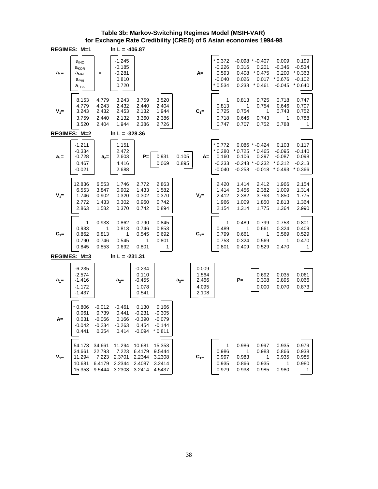|         | REGIMES: M=1                                                                                                                   |                                                    | In $L = -406.87$                                   |                                                    |                                                       |                |                                           |                                                       |                                           |                                                                           |                                                       |                                                       |
|---------|--------------------------------------------------------------------------------------------------------------------------------|----------------------------------------------------|----------------------------------------------------|----------------------------------------------------|-------------------------------------------------------|----------------|-------------------------------------------|-------------------------------------------------------|-------------------------------------------|---------------------------------------------------------------------------|-------------------------------------------------------|-------------------------------------------------------|
| $a_1 =$ | $a_{\scriptscriptstyle \sf{INO}}$<br>$a_{\mathsf{KOR}}$<br>$\mathsf{a}_{\textsf{MAL}}$<br>а <sub>рні</sub><br>а <sub>тна</sub> | $=$                                                | $-1.245$<br>$-0.185$<br>$-0.281$<br>0.810<br>0.720 |                                                    |                                                       |                | $A=$                                      | $*0.372$<br>$-0.226$<br>0.593<br>$-0.040$<br>$*0.534$ | 0.316<br>0.408<br>0.026<br>0.238          | $-0.098$ * $-0.407$<br>0.201<br>$*0.475$<br>0.017<br>$*0.461$             | 0.009<br>$-0.346$<br>0.200<br>$*0.676$<br>-0.045      | 0.199<br>$-0.534$<br>$*0.363$<br>$-0.102$<br>$*0.640$ |
| $V_1 =$ | 8.153<br>4.779<br>3.243<br>3.759<br>3.520                                                                                      | 4.779<br>4.243<br>2.432<br>2.440<br>2.404          | 3.243<br>2.432<br>2.453<br>2.132<br>1.944          | 3.759<br>2.440<br>2.132<br>3.360<br>2.386          | 3.520<br>2.404<br>1.944<br>2.386<br>2.726             |                | $C_1 =$                                   | 1<br>0.813<br>0.725<br>0.718<br>0.747                 | 0.813<br>1<br>0.754<br>0.646<br>0.707     | 0.725<br>0.754<br>1<br>0.743<br>0.752                                     | 0.718<br>0.646<br>0.743<br>1<br>0.788                 | 0.747<br>0.707<br>0.752<br>0.788<br>1                 |
|         | REGIMES: M=2                                                                                                                   |                                                    | $\ln L = -328.36$                                  |                                                    |                                                       |                |                                           |                                                       |                                           |                                                                           |                                                       |                                                       |
| $a_1 =$ | $-1.211$<br>$-0.334$<br>$-0.728$<br>0.467<br>$-0.021$                                                                          | $a_2=$                                             | 1.151<br>2.472<br>2.603<br>4.416<br>2.688          | $P=$                                               | 0.931<br>0.069                                        | 0.105<br>0.895 | A=                                        | $*0.772$<br>$*0.280$<br>0.160<br>$-0.233$<br>$-0.040$ | $*0.725$<br>0.106<br>$-0.258$             | $0.086$ * $-0.424$<br>$*0.465$<br>0.297<br>$-0.243$ $*$ 0.232<br>$-0.018$ | 0.103<br>$-0.095$<br>$-0.087$<br>$*0.312$<br>$*0.493$ | 0.117<br>$-0.140$<br>0.098<br>$-0.213$<br>$*0.366$    |
| $V_1 =$ | 12.836<br>6.553<br>1.746<br>2.772<br>2.863                                                                                     | 6.553<br>3.847<br>0.902<br>1.433<br>1.582          | 1.746<br>0.902<br>0.320<br>0.302<br>0.370          | 2.772<br>1.433<br>0.302<br>0.960<br>0.742          | 2.863<br>1.582<br>0.370<br>0.742<br>0.894             |                | $V_{2}$ =                                 | 2.420<br>1.414<br>2.412<br>1.966<br>2.154             | 1.414<br>3.456<br>2.382<br>1.009<br>1.314 | 2.412<br>2.382<br>3.763<br>1.850<br>1.775                                 | 1.966<br>1.009<br>1.850<br>2.813<br>1.364             | 2.154<br>1.314<br>1.775<br>1.364<br>2.990             |
| $C_1 =$ | 1<br>0.933<br>0.862<br>0.790<br>0.845                                                                                          | 0.933<br>1<br>0.813<br>0.746<br>0.853              | 0.862<br>0.813<br>1<br>0.545<br>0.692              | 0.790<br>0.746<br>0.545<br>1<br>0.801              | 0.845<br>0.853<br>0.692<br>0.801<br>1                 |                | $C_2=$                                    | 1<br>0.489<br>0.799<br>0.753<br>0.801                 | 0.489<br>1<br>0.661<br>0.324<br>0.409     | 0.799<br>0.661<br>1<br>0.569<br>0.529                                     | 0.753<br>0.324<br>0.569<br>1<br>0.470                 | 0.801<br>0.409<br>0.529<br>0.470<br>1                 |
|         | REGIMES: M=3                                                                                                                   |                                                    | $\ln L = -231.31$                                  |                                                    |                                                       |                |                                           |                                                       |                                           |                                                                           |                                                       |                                                       |
| $a_1 =$ | $-6.235$<br>$-2.574$<br>-1.416<br>$-1.172$<br>$-1.437$                                                                         |                                                    | $a_2 =$                                            | $-0.234$<br>0.110<br>$-0.455$<br>1.078<br>0.541    |                                                       | $a_3=$         | 0.009<br>1.564<br>2.466<br>4.095<br>2.108 |                                                       | $P =$                                     | 0.692<br>0.308<br>0.000                                                   | 0.035<br>0.895<br>0.070                               | 0.061<br>0.066<br>0.873                               |
| A=      | $*0.806$<br>0.061<br>0.031<br>-0.042<br>0.441                                                                                  | $-0.012$<br>0.739<br>$-0.066$<br>$-0.234$<br>0.354 | $-0.461$<br>0.441<br>0.166<br>$-0.263$<br>0.414    | 0.130<br>$-0.231$<br>$-0.390$<br>0.454<br>$-0.094$ | 0.166<br>$-0.305$<br>$-0.079$<br>$-0.144$<br>$*0.811$ |                |                                           |                                                       |                                           |                                                                           |                                                       |                                                       |
| $V_1 =$ | 54.173<br>34.661<br>11.294<br>10.681<br>15.353                                                                                 | 34.661<br>22.793<br>7.223<br>6.4179<br>9.5444      | 11.294<br>7.223<br>2.3701<br>2.2344<br>3.2308      | 10.681<br>6.4179<br>2.2344<br>2.4087<br>3.2414     | 15.353<br>9.5444<br>3.2308<br>3.2414<br>4.5437        |                | $C_1 =$                                   | 1<br>0.986<br>0.997<br>0.935<br>0.979                 | 0.986<br>1<br>0.983<br>0.866<br>0.938     | 0.997<br>0.983<br>1<br>0.935<br>0.985                                     | 0.935<br>0.866<br>0.935<br>1<br>0.980                 | 0.979<br>0.938<br>0.985<br>0.980<br>1                 |

#### **Table 3b: Markov-Switching Regimes Model (MSIH-VAR) for Exchange Rate Credibility (CRED) of 5 Asian economies 1994-98**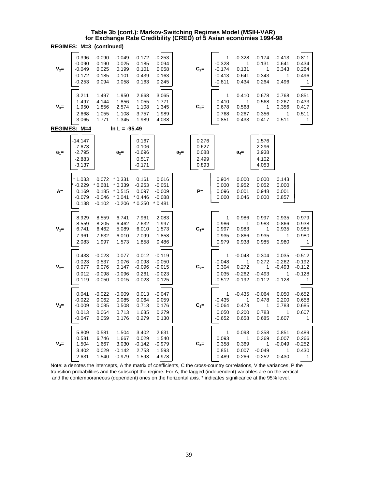#### **REGIMES: M=3 (continued) Table 3b (cont.): Markov-Switching Regimes Model (MSIH-VAR) for Exchange Rate Credibility (CRED) of 5 Asian economies 1994-98**

| $V_{2}$ = | 0.396<br>$-0.090$<br>$-0.049$<br>$-0.172$<br>$-0.253$   | $-0.090$<br>0.190<br>0.025<br>0.185<br>0.094       | $-0.049$<br>0.025<br>0.199<br>0.101<br>0.058             | $-0.172$<br>0.185<br>0.101<br>0.439<br>0.163       | $-0.253$<br>0.094<br>0.058<br>0.163<br>0.245          |         | $C_2=$                                    | 1<br>$-0.328$<br>$-0.174$<br>$-0.413$<br>$-0.811$ | $-0.328$<br>1<br>0.131<br>0.641<br>0.434       | $-0.174$<br>0.131<br>1<br>0.343<br>0.264    | $-0.413$<br>0.641<br>0.343<br>1<br>0.496          | $-0.811$<br>0.434<br>0.264<br>0.496<br>1          |
|-----------|---------------------------------------------------------|----------------------------------------------------|----------------------------------------------------------|----------------------------------------------------|-------------------------------------------------------|---------|-------------------------------------------|---------------------------------------------------|------------------------------------------------|---------------------------------------------|---------------------------------------------------|---------------------------------------------------|
| $V_3 =$   | 3.211<br>1.497<br>1.950<br>2.668<br>3.065               | 1.497<br>4.144<br>1.856<br>1.055<br>1.771          | 1.950<br>1.856<br>2.574<br>1.108<br>1.345                | 2.668<br>1.055<br>1.108<br>3.757<br>1.989          | 3.065<br>1.771<br>1.345<br>1.989<br>4.038             |         | $C_{3} =$                                 | 1<br>0.410<br>0.678<br>0.768<br>0.851             | 0.410<br>1<br>0.568<br>0.267<br>0.433          | 0.678<br>0.568<br>1<br>0.356<br>0.417       | 0.768<br>0.267<br>0.356<br>1<br>0.511             | 0.851<br>0.433<br>0.417<br>0.511<br>1             |
|           | REGIMES: M=4                                            |                                                    | In $L = -95.49$                                          |                                                    |                                                       |         |                                           |                                                   |                                                |                                             |                                                   |                                                   |
| $a_1 =$   | -14.147<br>$-7.673$<br>$-2.795$<br>$-2.883$<br>$-3.137$ |                                                    | $a_2 =$                                                  | 0.167<br>$-0.106$<br>$-0.696$<br>0.517<br>$-0.171$ |                                                       | $a_3 =$ | 0.276<br>0.627<br>0.088<br>2.499<br>0.893 |                                                   | $a_4=$                                         | 1.576<br>2.296<br>3.938<br>4.102<br>4.053   |                                                   |                                                   |
| A=        | $*1.033$<br>$-0.229$<br>0.169<br>$-0.079$<br>0.138      | 0.072<br>$*0.681$<br>0.185<br>$-0.046$<br>$-0.102$ | $*0.331$<br>$*0.339$<br>$*0.515$<br>$*0.041$<br>$-0.206$ | 0.161<br>$-0.253$<br>0.097<br>$*0.446$<br>$*0.350$ | 0.016<br>$-0.051$<br>$-0.009$<br>$-0.088$<br>* 0.481  |         | $P =$                                     | 0.904<br>0.000<br>0.096<br>0.000                  | 0.000<br>0.952<br>0.001<br>0.046               | 0.000<br>0.052<br>0.948<br>0.000            | 0.143<br>0.000<br>0.001<br>0.857                  |                                                   |
| $V_1 =$   | 8.929<br>8.559<br>6.741<br>7.961<br>2.083               | 8.559<br>8.205<br>6.462<br>7.632<br>1.997          | 6.741<br>6.462<br>5.089<br>6.010<br>1.573                | 7.961<br>7.632<br>6.010<br>7.099<br>1.858          | 2.083<br>1.997<br>1.573<br>1.858<br>0.486             |         | $C_1 =$                                   | 1<br>0.986<br>0.997<br>0.935<br>0.979             | 0.986<br>1<br>0.983<br>0.866<br>0.938          | 0.997<br>0.983<br>1<br>0.935<br>0.985       | 0.935<br>0.866<br>0.935<br>1<br>0.980             | 0.979<br>0.938<br>0.985<br>0.980<br>1             |
| $V_2 =$   | 0.433<br>$-0.023$<br>0.077<br>0.012<br>-0.119           | $-0.023$<br>0.537<br>0.076<br>$-0.098$<br>$-0.050$ | 0.077<br>0.076<br>0.147<br>$-0.096$<br>$-0.015$          | 0.012<br>$-0.098$<br>$-0.096$<br>0.261<br>$-0.023$ | $-0.119$<br>$-0.050$<br>$-0.015$<br>$-0.023$<br>0.125 |         | $C_2=$                                    | 1<br>$-0.048$<br>0.304<br>0.035<br>$-0.512$       | $-0.048$<br>1<br>0.272<br>$-0.262$<br>$-0.192$ | 0.304<br>0.272<br>1<br>$-0.493$<br>$-0.112$ | 0.035<br>$-0.262$<br>$-0.493$<br>1<br>$-0.128$    | $-0.512$<br>$-0.192$<br>$-0.112$<br>$-0.128$<br>1 |
| $V_3=$    | 0.041<br>$-0.022$<br>$-0.009$<br>0.013<br>$-0.047$      | $-0.022$<br>0.062<br>0.085<br>0.064<br>0.059       | $-0.009$<br>0.085<br>0.508<br>0.713<br>0.176             | 0.013<br>0.064<br>0.713<br>1.635<br>0.279          | $-0.047$<br>0.059<br>0.176<br>0.279<br>0.130          |         | $C_3=$                                    | 1<br>$-0.435$<br>$-0.064$<br>0.050<br>$-0.652$    | $-0.435$<br>1<br>0.478<br>0.200<br>0.658       | $-0.064$<br>0.478<br>1<br>0.783<br>0.685    | 0.050<br>0.200<br>0.783<br>1<br>0.607             | $-0.652$<br>0.658<br>0.685<br>0.607<br>1          |
| $V_4=$    | 5.809<br>0.581<br>1.504<br>3.402<br>2.631               | 0.581<br>6.746<br>1.667<br>0.029<br>1.540          | 1.504<br>1.667<br>3.030<br>$-0.142$<br>$-0.979$          | 3.402<br>0.029<br>-0.142<br>2.753<br>1.593         | 2.631<br>1.540<br>-0.979<br>1.593<br>4.978            |         | $C_4=$                                    | 1<br>0.093<br>0.358<br>0.851<br>0.489             | 0.093<br>1<br>0.369<br>0.007<br>0.266          | 0.358<br>0.369<br>1<br>$-0.049$<br>$-0.252$ | 0.851<br>0.007<br>-0.049<br>$\mathbf{1}$<br>0.430 | 0.489<br>0.266<br>$-0.252$<br>0.430<br>1          |

Note: a denotes the intercepts, A the matrix of coefficients, C the cross-country correlations, V the variances, P the transition probabilities and the subscript the regime. For A, the lagged (independent) variables are on the vertical and the contemporaneous (dependent) ones on the horizontal axis. \* indicates significance at the 95% level.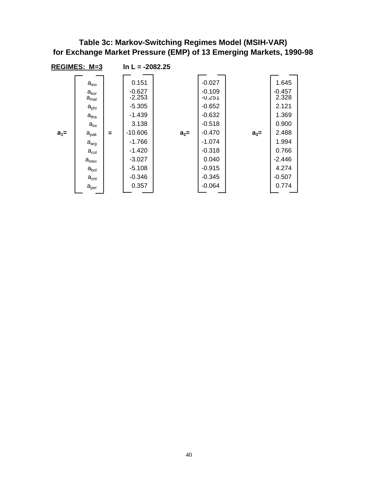#### **Table 3c: Markov-Switching Regimes Model (MSIH-VAR) for Exchange Market Pressure (EMP) of 13 Emerging Markets, 1990-98**

|         | REGIMES: M=3                                                                                                                                                                                                                                                 |     | $\ln L = -2082.25$                                                                                                                               |         |                                                                                                                                                       |         |                                                                                                                            |
|---------|--------------------------------------------------------------------------------------------------------------------------------------------------------------------------------------------------------------------------------------------------------------|-----|--------------------------------------------------------------------------------------------------------------------------------------------------|---------|-------------------------------------------------------------------------------------------------------------------------------------------------------|---------|----------------------------------------------------------------------------------------------------------------------------|
| $a_1 =$ | $a_{\text{ino}}$<br>$a_{\rm kor}$<br>$a_{\text{mal}}$<br>a <sub>phi</sub><br>$a_{\text{tha}}$<br>$a_{\rm ini}$<br>$a_{\text{pak}}$<br>$\mathsf{a}_{\mathsf{arg}}$<br>$a_{\text{col}}$<br>$a_{\sf max}$<br>$a_{\rm bol}$<br>$a_{\rm chl}$<br>a <sub>per</sub> | $=$ | 0.151<br>$-0.627$<br>$-2.253$<br>$-5.305$<br>$-1.439$<br>3.138<br>$-10.606$<br>$-1.766$<br>$-1.420$<br>$-3.027$<br>$-5.108$<br>$-0.346$<br>0.357 | $a_2 =$ | $-0.027$<br>$-0.109$<br>$-0.251$<br>$-0.652$<br>$-0.632$<br>$-0.518$<br>$-0.470$<br>$-1.074$<br>$-0.318$<br>0.040<br>$-0.915$<br>$-0.345$<br>$-0.064$ | $a_3 =$ | 1.645<br>$-0.457$<br>2.328<br>2.121<br>1.369<br>0.900<br>2.488<br>1.994<br>0.766<br>$-2.446$<br>4.274<br>$-0.507$<br>0.774 |
|         |                                                                                                                                                                                                                                                              |     |                                                                                                                                                  |         |                                                                                                                                                       |         |                                                                                                                            |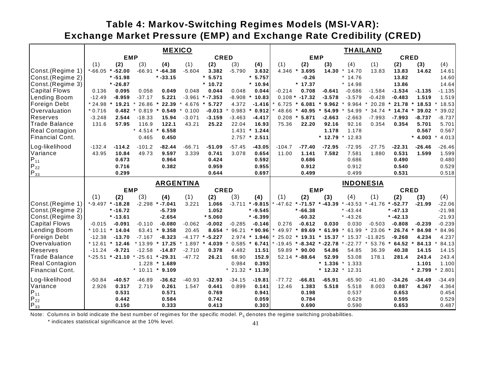# **Table 4: Markov-Switching Regimes Models (MSI-VAR): Exchange Market Pressure (EMP) and Exchange Rate Credibility (CRED)**

|                                |             |            |                  | <b>MEXICO</b>          |          |                     |               |                  | <b>THAILAND</b> |                  |            |                  |               |             |           |          |
|--------------------------------|-------------|------------|------------------|------------------------|----------|---------------------|---------------|------------------|-----------------|------------------|------------|------------------|---------------|-------------|-----------|----------|
|                                |             | <b>EMP</b> |                  |                        |          | <b>CRED</b>         |               |                  |                 | <b>EMP</b>       |            |                  |               | <b>CRED</b> |           |          |
|                                | (1)         | (2)        | (3)              | (4)                    | (1)      | (2)                 | (3)           | (4)              | (1)             | (2)              | (3)        | (4)              | (1)           | (2)         | (3)       | (4)      |
| Const.(Regime 1                | $*-66.05$   | $* -52.00$ | $-66.91$         | $* -64.38$             | $-5.604$ | 3.382               | $-5.790$      | 3.632            | 4.346           | 3.695<br>$\star$ | 14.30      | 14.70            | 13.83         | 13.83       | 14.62     | 14.61    |
| Const.(Regime 2)               |             | $* -51.98$ |                  | $* -33.15$             |          | 5.571<br>$\star$    |               | 5.757            |                 | $-0.26$          |            | $* 14.76$        |               | 13.82       |           | 14.60    |
| Const.(Regime 3)               |             | $* -26.87$ |                  |                        |          | $*10.72$            |               | $*10.94$         |                 | $*17.37$         |            | $*14.98$         |               | 13.86       |           | 14.64    |
| <b>Capital Flows</b>           | 0.136       | 0.095      | 0.058            | 0.049                  | 0.048    | 0.044               | 0.048         | 0.044            | $-0.214$        | 0.708            | $-0.641$   | $-0.686$         | $-1.584$      | $-1.534$    | $-1.135$  | $-1.135$ |
| Lending Boom                   | $-12.49$    | $-8.959$   | $-37.17$         | 5.221                  |          | $-3.961$ * $-7.353$ | $-8.908$      | 10.83<br>$\star$ |                 | $0.108 * -17.32$ | $-3.578$   | $-3.579$         | $-0.428$      | $-0.483$    | 1.519     | 1.519    |
| Foreign Debt                   | $*24.98$    | 19.21      | 26.86            | 22.39                  | 4.676    | 5.727               | 4.372         | $-1.416$         | 6.725           | 6.081            | 9.962      | 9.964            | 20.28         | 21.78       | 18.53     | 18.53    |
| Overvaluation                  | $*0.716$    | 0.482      | 0.819            | 0.549                  | 0.100    | $-0.013$            | 0.983         | 0.912            | 48.66           | 40.95            | 54.99      | 54.99            | 34.74         | 14.74       | 39.02     | 39.02    |
| <b>Reserves</b>                | $-3.248$    | 2.544      | $-18.33$         | 15.94                  | $-3.071$ | $-3.159$            | $-3.463$      | $-4.417$         | 0.208           | $\star$<br>5.871 | $-2.663$   | $-2.663$         | $-7.993$      | $-7.993$    | $-8.737$  | $-8.737$ |
| <b>Trade Balance</b>           | 131.6       | 57.95      | 116.9            | 122.1                  | 43.21    | 25.22               | 22.04         | 16.93            | 75.36           | 22.20            | 92.16      | 92.16            | 0.354         | 0.354       | 5.701     | 5.701    |
| <b>Real Contagion</b>          |             |            | $\star$<br>4.514 | 6.558<br>$\pmb{\star}$ |          |                     |               | $1.431 * 1.244$  |                 |                  | 1.178      | 1.178            |               |             | 0.567     | 0.567    |
| Financial Cont.                |             |            | 0.465            | 0.450                  |          |                     | 2.757         | $*2.511$         |                 |                  | $*12.79$   | 12.83            |               |             | $* 4.003$ | 4.013    |
| Log-likelihood                 | $-132.4$    | $-114.2$   | $-101.2$         | $-82.44$               | $-66.71$ | $-51.09$            | $-57.45$      | $-43.05$         | $-104.7$        | $-77.40$         | $-72.95$   | $-72.95$         | -27.75        | $-22.31$    | $-26.46$  | $-26.46$ |
| Variance                       | 43.95       | 10.84      | 49.73            | 9.597                  | 3.339    | 0.741               | 3.078         | 0.654            | 11.00           | 1.141            | 7.582      | 7.581            | 1.880         | 0.531       | 1.599     | 1.599    |
|                                |             | 0.673      |                  | 0.964                  |          | 0.424               |               | 0.592            |                 | 0.686            |            | 0.686            |               | 0.490       |           | 0.480    |
| $P_{11}$<br>$P_{22}$           |             | 0.716      |                  | 0.382                  |          | 0.959               |               | 0.955            |                 | 0.912            |            | 0.912            |               | 0.540       |           | 0.529    |
| $P_{33}$                       |             | 0.299      |                  |                        |          | 0.644               |               | 0.697            |                 | 0.499            |            | 0.499            |               | 0.531       |           | 0.518    |
|                                |             |            |                  | <b>ARGENTINA</b>       |          |                     |               |                  |                 |                  |            | <b>INDONESIA</b> |               |             |           |          |
|                                |             | <b>EMP</b> |                  |                        |          | <b>CRED</b>         |               |                  |                 | <b>EMP</b>       |            |                  |               | <b>CRED</b> |           |          |
|                                | (1)         | (2)        | (3)              | (4)                    | (1)      | (2)                 | (3)           | (4)              | (1)             | (2)              | (3)        | (4)              | (1)           | (2)         | (3)       | (4)      |
| Const.(Regime 1                | $* -9.497$  | $* -18.28$ | $-2.298$         | $* -7.041$             | 3.221    | 1.066               | $-3.711$      | $* -9.815$       | $* -47.62$      | $* -71.57$       | $* -43.39$ | $-43.53$         | $* -41.76$    | $* -52.77$  | $-21.99$  | $-22.06$ |
| Const.(Regime 2)               |             | $* -16.72$ |                  | $-5.739$               |          | 1.052               |               | $* -9.545$       |                 | $* -66.38$       |            | $* -43.44$       |               | $* -47.13$  |           | $-21.98$ |
| Const. (Regime 3)              |             | $* -13.61$ |                  | $-2.654$               |          | $*5.060$            |               | $* -6.399$       |                 | $-60.32$         |            | $* -43.26$       |               | $* -42.13$  |           | $-21.93$ |
| <b>Capital Flows</b>           | $-0.015$    | $-0.091$   | $-0.110$         | $-0.080$               | $-0.062$ | $-0.002$            | $-0.285$      | $-0.146$         | 0.276           | $-0.612$         | 0.030      | 0.030            | $-0.503$      | $-0.808$    | $-0.239$  | $-0.239$ |
| Lending Boom                   | $*10.11$    | $*14.04$   | 63.41            | 9.358                  | 20.45    | 8.654               | 96.21         | $*90.96$         | 49.97           | 89.69            | 61.99      | 61.99            | 23.06         | 26.74       | 84.98     | 84.96    |
| <b>Foreign Debt</b>            | $-12.38$    | $-13.70$   | $-7.167$         | $-8.323$               | $-4.177$ | $* -5.227$          | 2.974         | 1.946            | 25.02           | 19.31<br>$\star$ | 15.37      |                  | 15.37 -11.825 | $-9.268$    | 4.234     | 4.237    |
| Overvaluation                  | $*12.61$    | 12.46      | 13.99            | 17.25                  | 1.897    | 4.039               | 0.585         | 6.741            | $-19.45$        | $* -8.342$       | $-22.78$   | $* -22.77$       | 53.76         | 64.52       | 84.13     | 84.13    |
| <b>Reserves</b>                | $-11.24$    | $-9.721$   | $-12.58$         | $-14.87$               | $-2.710$ | 0.378               | 4.482         | 11.51            | 59.89           | $\star$<br>90.00 | 54.86      | 54.85            | 36.39         | 40.38       | 14.15     | 14.15    |
| <b>Trade Balance</b>           | $* - 25.51$ | $-21.10$   | $* -25.61$       | $-29.31$<br>$\star$    | $-47.72$ | 26.21               | 68.90         | 152.9            |                 | $52.14$ * -88.64 | 52.99      | 53.08            | 178.1         | 281.4       | 243.4     | 243.4    |
| <b>Real Contagion</b>          |             |            |                  | $1.228 * 1.689$        |          |                     | 0.984         | 0.393            |                 |                  | $*1.336$   | 1.333<br>$\ast$  |               |             | 1.101     | 1.100    |
| <b>Financial Cont.</b>         |             |            |                  | $*$ 10.11 $*$ 9.109    |          |                     | $*$ 21.32 $*$ | 11.39            |                 |                  | $*12.32$   | $*12.31$         |               |             | $*$ 2.799 | 2.801    |
| Log-likelihood                 | $-50.84$    | $-40.57$   | $-46.89$         | $-36.62$               | $-40.93$ | $-32.93$            | $-34.15$      | $-19.81$         | $-77.72$        | $-66.81$         | $-65.91$   | $-65.90$         | $-41.80$      | $-34.26$    | $-34.49$  | $-34.49$ |
| Variance                       | 2.926       | 0.317      | 2.719            | 0.261                  | 1.547    | 0.441               | 0.899         | 0.141            | 12.46           | 1.383            | 5.518      | 5.518            | 8.003         | 0.887       | 4.367     | 4.364    |
|                                |             | 0.531      |                  | 0.571                  |          | 0.769               |               | 0.941            |                 | 0.198            |            | 0.537            |               | 0.653       |           | 0.454    |
| $P_{22}^{11}$<br>$P_{33}^{22}$ |             | 0.442      |                  | 0.584                  |          | 0.742               |               | 0.059            |                 | 0.784            |            | 0.629            |               | 0.595       |           | 0.529    |
|                                |             | 0.150      |                  | 0.333                  |          | 0.413               |               | 0.303            |                 | 0.690            |            | 0.590            |               | 0.653       |           | 0.487    |

Note: Columns in bold indicate the best number of regimes for the specific model.  $P_{ij}$  denotes the regime switching probabilities.

\* indicates statistical significance at the 10% level.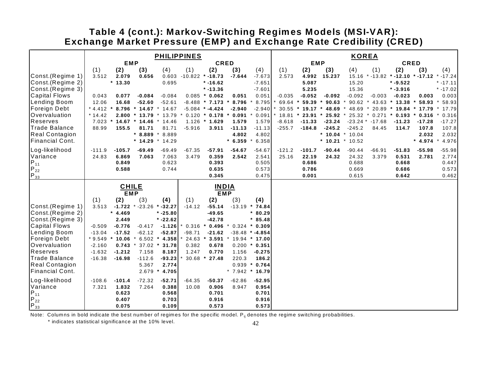### **Exchange Market Pressure (EMP) and Exchange Rate Credibility (CRED) Table 4 (cont.): Markov-Switching Regimes Models (MSI-VAR):**

|                                    | <b>PHILIPPINES</b>   |                         |                     |                     |                |                     |                   |                                  |            | <b>KOREA</b> |                     |                     |                     |                                  |           |                  |  |  |
|------------------------------------|----------------------|-------------------------|---------------------|---------------------|----------------|---------------------|-------------------|----------------------------------|------------|--------------|---------------------|---------------------|---------------------|----------------------------------|-----------|------------------|--|--|
|                                    | <b>EMP</b>           |                         |                     |                     | <b>CRED</b>    |                     |                   |                                  | <b>EMP</b> |              |                     |                     |                     | <b>CRED</b>                      |           |                  |  |  |
|                                    | (1)                  | (2)                     | (3)                 | (4)                 | (1)            | (2)                 | (3)               | (4)                              | (1)        | (2)          | (3)                 | (4)                 | (1)                 | (2)                              | (3)       | (4)              |  |  |
| Const.(Regime 1)                   | 3.512                | 2.079                   | 0.656               | 0.603               |                | $-10.822$ * -18.73  | $-7.644$          | $-7.673$                         | 2.573      | 4.992        | 15.237              |                     |                     | 15.16 * -13.82 * -12.10 * -17.12 |           | $* -17.24$       |  |  |
| Const.(Regime 2)                   |                      | $*13.30$                |                     | 0.695               |                | $* -16.62$          |                   | $-7.651$                         |            | 5.087        |                     | 15.20               |                     | $* -9.522$                       |           | $* -17.11$       |  |  |
| Const.(Regime 3)                   |                      |                         |                     |                     |                | $* -13.36$          |                   | $-7.601$                         |            | 5.235        |                     | 15.36               |                     | $* -3.916$                       |           | $* -17.02$       |  |  |
| <b>Capital Flows</b>               | 0.043                | 0.077                   | $-0.084$            | $-0.084$            |                | $0.085 * 0.062$     | 0.051             | 0.051                            | $-0.035$   | $-0.052$     | $-0.092$            | $-0.092$            | $-0.003$            | $-0.023$                         | 0.003     | 0.003            |  |  |
| Lending Boom                       | 12.06                | 16.68                   | $-52.60$            | $-52.61$            |                | $-8.488$ * 7.173    | 8.796             | 8.795                            | $69.64$ *  | 59.39        | 90.63               | 90.62               |                     | 43.63 * 13.38                    | 58.93     | 58.93            |  |  |
| Foreign Debt                       | $*4.412$             |                         | 8.796 * 14.67       | $*14.67$            |                | $-5.084$ * $-4.424$ | $-2.940$          | $-2.940$                         | 30.55      |              | $*$ 19.17 $*$ 48.69 | 48.69               | 20.89<br>$\cdot$    | $*$ 19.84 $*$ 17.79              |           | 17.79            |  |  |
| <b>Overvaluation</b>               | $*14.42$             |                         | $2.800 * 13.79$     | $*13.79$            |                | $0.120 * 0.178$     | 0.091             | 0.091                            | $18.81$ *  | $23.91$ *    | 25.92               |                     |                     | 25.32 * 0.271 * 0.193 * 0.316    |           | 0.316            |  |  |
| Reserves                           |                      | $7.023$ * 14.67 * 14.46 |                     | $* 14.46$           |                | 1.126 * 1.629       | 1.579             | 1.579                            | $-8.618$   | $-11.33$     | $-23.24$            |                     | $-23.24$ * $-17.68$ | $-11.23$                         | $-17.28$  | $-17.27$         |  |  |
| <b>Trade Balance</b>               | 88.99                | 155.5                   | 81.71               | 81.71               | $-5.916$       | 3.911               | $-11.13$          | $-11.13$                         | $-255.7$   | $-184.8$     | $-245.2$            | $-245.2$            | 84.45               | 114.7                            | 107.8     | 107.8            |  |  |
| <b>Real Contagion</b>              |                      |                         |                     | $*$ 8.889 $*$ 8.889 |                |                     | 4.802             | 4.802                            |            |              |                     | * 10.04 * 10.04     |                     |                                  | 2.032     | 2.032            |  |  |
| <b>Financial Cont.</b>             |                      |                         | $*14.29$            | $*14.29$            |                |                     | $* 6.359$         | 6.358                            |            |              |                     | $*$ 10.21 $*$ 10.52 |                     |                                  | $* 4.974$ | 4.976<br>$\star$ |  |  |
| Log-likelihood                     | $-111.9$             | $-105.7$                | $-69.49$            | $-69.49$            | $-67.35$       | $-57.91$            | $-54.67$          | $-54.67$                         | $-121.2$   | $-101.7$     | $-90.44$            | $-90.44$            | $-66.91$            | $-51.83$                         | $-55.98$  | $-55.98$         |  |  |
| Variance                           | 24.83                | 6.869                   | 7.063               | 7.063               | 3.479          | 0.359               | 2.542             | 2.541                            | 25.16      | 22.19        | 24.32               | 24.32               | 3.379               | 0.531                            | 2.781     | 2.774            |  |  |
|                                    |                      | 0.849                   |                     | 0.623               |                | 0.393               |                   | 0.505                            |            | 0.686        |                     | 0.688               |                     | 0.668                            |           | 0.447            |  |  |
| $P_{11}$<br>$P_{22}$               |                      | 0.588                   |                     | 0.744               |                | 0.635               |                   | 0.573                            |            | 0.786        |                     | 0.669               |                     | 0.686                            |           | 0.573            |  |  |
| $P_{33}^{-}$                       |                      |                         |                     |                     |                | 0.345               |                   | 0.475                            |            | 0.001        |                     | 0.615               |                     | 0.642                            |           | 0.462            |  |  |
|                                    |                      | <b>CHILE</b>            |                     |                     | <b>INDIA</b>   |                     |                   |                                  |            |              |                     |                     |                     |                                  |           |                  |  |  |
|                                    |                      | <b>EMP</b>              |                     |                     |                | <b>EMP</b>          |                   |                                  |            |              |                     |                     |                     |                                  |           |                  |  |  |
|                                    | (1)                  | (2)                     | (3)                 | (4)                 | (1)            | (2)                 | (3)               | (4)                              |            |              |                     |                     |                     |                                  |           |                  |  |  |
| Const.(Regime 1)                   | 3.513                |                         | $-1.722$ * $-23.26$ | $* -32.27$          | $-14.12$       | $-55.14$            | $-13.19$          | 74.84                            |            |              |                     |                     |                     |                                  |           |                  |  |  |
| Const.(Regime 2)                   |                      | 4.469                   |                     | $* -25.80$          |                | $-49.65$            |                   | $*80.29$                         |            |              |                     |                     |                     |                                  |           |                  |  |  |
| Const.(Regime 3)                   |                      | 2.449                   |                     | $* -22.62$          |                | $-42.78$            |                   | $*85.48$                         |            |              |                     |                     |                     |                                  |           |                  |  |  |
| <b>Capital Flows</b>               | $-0.509$             | $-0.776$                | $-0.417$            | $-1.126$            | $0.316$ *      | 0.496               | $\star$           | $0.324 * 0.309$                  |            |              |                     |                     |                     |                                  |           |                  |  |  |
| Lending Boom                       | $-13.04$             | $-17.52$                | $-62.12$            | $-52.87$            | $-98.71$       | $-21.62$            |                   | $-38.48$ * $-4.854$              |            |              |                     |                     |                     |                                  |           |                  |  |  |
| Foreign Debt<br>Overvaluation      | $*9.549$<br>$-2.160$ | 10.06<br>$0.743$ *      | 6.502<br>$37.02$ *  | 4.358<br>31.78      | 24.63<br>0.382 | 3.591<br>0.678      |                   | 19.94 * 17.00<br>$0.200 * 0.351$ |            |              |                     |                     |                     |                                  |           |                  |  |  |
| Reserves                           |                      | $-1.212$                |                     | 8.187               | 1.247          | 0.770               |                   |                                  |            |              |                     |                     |                     |                                  |           |                  |  |  |
| <b>Trade Balance</b>               | $-1.632$<br>$-16.38$ | $-16.98$                | 7.158<br>$-112.6$   | $-93.23$            | $30.68$ *      | 27.48               | 1.156<br>220.3    | $-0.275$<br>186.2                |            |              |                     |                     |                     |                                  |           |                  |  |  |
| <b>Real Contagion</b>              |                      |                         | 5.367               | 2.774               |                |                     |                   | $0.939 * 0.764$                  |            |              |                     |                     |                     |                                  |           |                  |  |  |
| Financial Cont.                    |                      |                         | 2.679               | 4.705               |                |                     | $* 7.942 * 16.79$ |                                  |            |              |                     |                     |                     |                                  |           |                  |  |  |
| Log-likelihood                     | $-108.6$             | $-101.4$                | $-72.32$            | $-52.71$            | $-64.35$       | $-50.37$            | $-62.86$          | $-52.95$                         |            |              |                     |                     |                     |                                  |           |                  |  |  |
| Variance                           | 7.321                | 1.832                   | 7.264               | 0.388               | 10.08          | 0.906               | 8.947             | 0.954                            |            |              |                     |                     |                     |                                  |           |                  |  |  |
|                                    |                      | 0.623                   |                     | 0.568               |                | 0.701               |                   | 0.701                            |            |              |                     |                     |                     |                                  |           |                  |  |  |
|                                    |                      |                         |                     | 0.703               |                | 0.916               |                   | 0.916                            |            |              |                     |                     |                     |                                  |           |                  |  |  |
|                                    |                      |                         |                     |                     |                |                     |                   |                                  |            |              |                     |                     |                     |                                  |           |                  |  |  |
| $P_{11}$<br>$P_{22}$<br>$P_{33}^-$ |                      | 0.407<br>0.075          |                     | 0.109               |                | 0.573               |                   | 0.573                            |            |              |                     |                     |                     |                                  |           |                  |  |  |

Note: Columns in bold indicate the best number of regimes for the specific model.  $P_{ij}$  denotes the regime switching probabilities.

\* indicates statistical significance at the 10% level.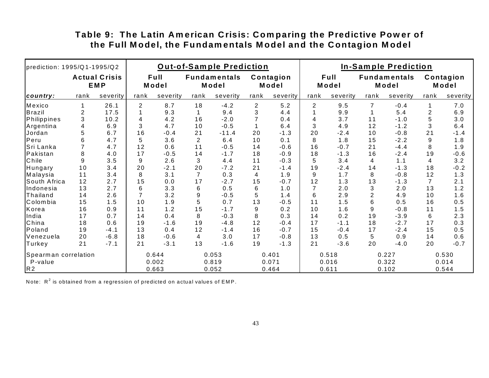| prediction: 1995/Q1-1995/Q2 |                                    |          |                | <b>Out-of-Sample Prediction</b> |                              |          | <b>In-Sample Prediction</b> |          |               |          |                              |          |                          |          |
|-----------------------------|------------------------------------|----------|----------------|---------------------------------|------------------------------|----------|-----------------------------|----------|---------------|----------|------------------------------|----------|--------------------------|----------|
|                             | <b>Actual Crisis</b><br><b>EMP</b> |          | Full<br>Model  |                                 | <b>Fundamentals</b><br>Model |          | Contagion<br>Model          |          | Full<br>Model |          | <b>Fundamentals</b><br>Model |          | Contagion<br>Model       |          |
| country:                    | rank                               | severity | rank           | severity                        | rank                         | severity | rank                        | severity | rank          | severity | rank                         | severity | rank                     | severity |
| Mexico                      |                                    | 26.1     | 2              | 8.7                             | 18                           | $-4.2$   | $\overline{2}$              | 5.2      | 2             | 9.5      |                              | $-0.4$   |                          | 7.0      |
| <b>Brazil</b>               | 2                                  | 17.5     |                | 9.3                             |                              | 9.4      | 3                           | 4.4      |               | 9.9      |                              | 5.4      | $\overline{2}$           | 6.9      |
| Philippines                 | 3                                  | 10.2     | 4              | 4.2                             | 16                           | $-2.0$   |                             | 0.4      | 4             | 3.7      | 11                           | $-1.0$   | 5                        | 3.0      |
| Argentina                   | 4                                  | 6.9      | 3              | 4.7                             | 10                           | $-0.5$   |                             | 6.4      | 3             | 4.9      | 12                           | $-1.2$   | 3                        | 6.4      |
| Jordan                      |                                    | 6.7      | 16             | $-0.4$                          | 21                           | $-11.4$  | 20                          | $-1.3$   | 20            | $-2.4$   | 10                           | $-0.8$   | 21                       | $-1.4$   |
| Peru                        | 6                                  | 4.7      | 5              | 3.6                             | $\overline{2}$               | 6.4      | 10                          | 0.1      | 8             | 1.8      | 15                           | $-2.2$   | 9                        | 1.8      |
| Sri Lanka                   |                                    | 4.7      | 12             | 0.6                             | 11                           | $-0.5$   | 14                          | $-0.6$   | 16            | $-0.7$   | 21                           | $-4.4$   | 8                        | 1.9      |
| Pakistan                    | 8                                  | 4.0      | 17             | $-0.5$                          | 14                           | $-1.7$   | 18                          | $-0.9$   | 18            | $-1.3$   | 16                           | $-2.4$   | 19                       | $-0.6$   |
| Chile                       | 9                                  | 3.5      | 9              | 2.6                             | 3                            | 4.4      | 11                          | $-0.3$   | 5             | 3.4      | 4                            | 1.1      | $\overline{\mathcal{A}}$ | 3.2      |
| Hungary                     | 10                                 | 3.4      | 20             | $-2.1$                          | 20                           | $-7.2$   | 21                          | $-1.4$   | 19            | $-2.4$   | 14                           | $-1.3$   | 18                       | $-0.2$   |
| Malaysia                    | 11                                 | 3.4      | 8              | 3.1                             | $\overline{7}$               | 0.3      | 4                           | 1.9      | 9             | 1.7      | 8                            | $-0.8$   | 12                       | 1.3      |
| South Africa                | 12                                 | 2.7      | 15             | 0.0                             | 17                           | $-2.7$   | 15                          | $-0.7$   | 12            | 1.3      | 13                           | $-1.3$   | $\overline{7}$           | 2.1      |
| Indonesia                   | 13                                 | 2.7      | 6              | 3.3                             | 6                            | 0.5      | 6                           | 1.0      | 7             | 2.0      | 3                            | 2.0      | 13                       | 1.2      |
| <b>Thailand</b>             | 14                                 | 2.6      | $\overline{7}$ | 3.2                             | $\boldsymbol{9}$             | $-0.5$   | 5                           | 1.4      | 6             | 2.9      | $\overline{2}$               | 4.9      | 10                       | 1.6      |
| Colombia                    | 15                                 | 1.5      | 10             | 1.9                             | 5                            | 0.7      | 13                          | $-0.5$   | 11            | 1.5      | 6                            | 0.5      | 16                       | $0.5\,$  |
| Korea                       | 16                                 | $0.9$    | 11             | 1.2                             | 15                           | $-1.7$   | 9                           | 0.2      | 10            | 1.6      | 9                            | $-0.8$   | 11                       | 1.5      |
| India                       | 17                                 | 0.7      | 14             | 0.4                             | 8                            | $-0.3$   | 8                           | 0.3      | 14            | 0.2      | 19                           | $-3.9$   | 6                        | 2.3      |
| China                       | 18                                 | 0.6      | 19             | $-1.6$                          | 19                           | $-4.8$   | 12                          | $-0.4$   | 17            | $-1.1$   | 18                           | $-2.7$   | 17                       | 0.3      |
| Poland                      | 19                                 | $-4.1$   | 13             | 0.4                             | 12                           | $-1.4$   | 16                          | $-0.7$   | 15            | $-0.4$   | 17                           | $-2.4$   | 15                       | 0.5      |
| Venezuela                   | 20                                 | $-6.8$   | 18             | $-0.6$                          | 4                            | 3.0      | 17                          | $-0.8$   | 13            | 0.5      | 5                            | 0.9      | 14                       | 0.6      |
| Turkey                      | 21                                 | $-7.1$   | 21             | $-3.1$                          | 13                           | $-1.6$   | 19                          | $-1.3$   | 21            | $-3.6$   | 20                           | $-4.0$   | 20                       | $-0.7$   |
| Spearman correlation        |                                    |          | 0.644          |                                 | 0.053                        |          | 0.401                       |          | 0.518         |          | 0.227                        |          | 0.530                    |          |
| P-value                     |                                    |          | 0.002          |                                 | 0.819                        |          | 0.071                       |          | 0.016         |          | 0.322                        |          | 0.014                    |          |
| R <sub>2</sub>              |                                    |          | 0.663          |                                 | 0.052                        |          | 0.464                       |          | 0.611         |          | 0.102                        |          | 0.544                    |          |

### **the Full Model, the Fundamentals Model and the Contagion Model** Table 9: The Latin American Crisis: Comparing the Predictive Power of

Note:  $\, {\sf R}^2$  is obtained from a regression of predicted on actual values of EMP.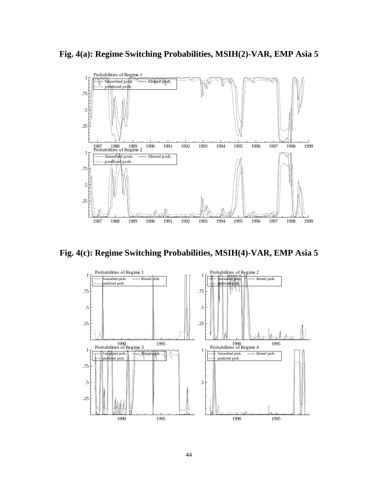**Fig. 4(a): Regime Switching Probabilities, MSIH(2)-VAR, EMP Asia 5**



**Fig. 4(c): Regime Switching Probabilities, MSIH(4)-VAR, EMP Asia 5**